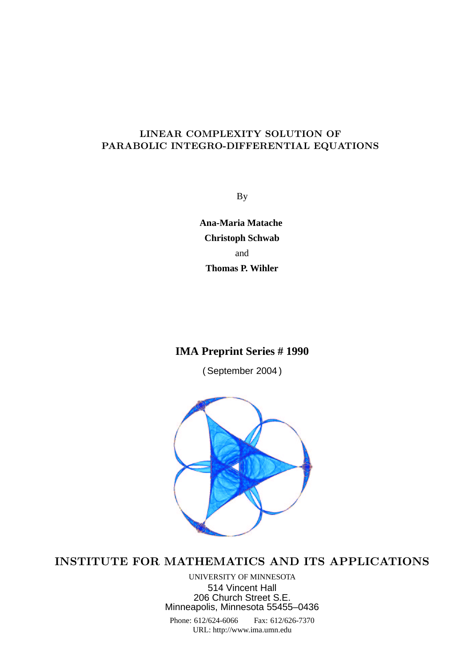## LINEAR COMPLEXITY SOLUTION OF PARABOLIC INTEGRO-DIFFERENTIAL EQUATIONS

By

**Ana-Maria Matache Christoph Schwab** and **Thomas P. Wihler**

# **IMA Preprint Series # 1990**

( September 2004 )



# INSTITUTE FOR MATHEMATICS AND ITS APPLICATIONS

UNIVERSITY OF MINNESOTA 514 Vincent Hall 206 Church Street S.E. Minneapolis, Minnesota 55455–0436

Phone: 612/624-6066 Fax: 612/626-7370 URL: http://www.ima.umn.edu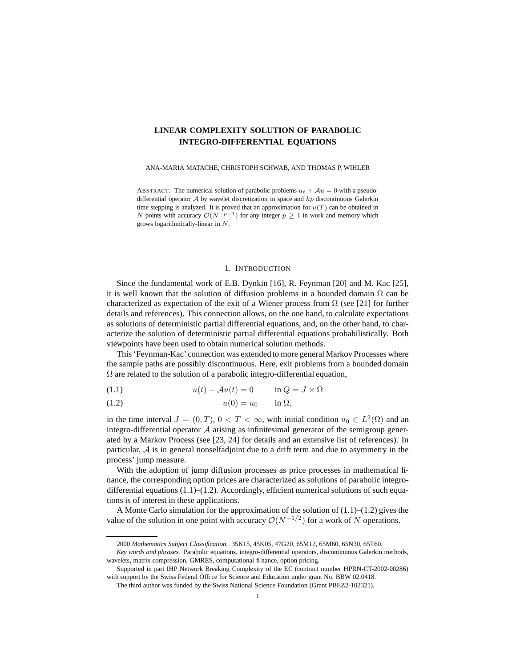## **LINEAR COMPLEXITY SOLUTION OF PARABOLIC INTEGRO-DIFFERENTIAL EQUATIONS**

ANA-MARIA MATACHE, CHRISTOPH SCHWAB, AND THOMAS P. WIHLER

ABSTRACT. The numerical solution of parabolic problems  $u_t + Au = 0$  with a pseudodifferential operator  $A$  by wavelet discretization in space and  $hp$  discontinuous Galerkin time stepping is analyzed. It is proved that an approximation for  $u(T)$  can be obtained in N points with accuracy  $\mathcal{O}(N^{-p-1})$  for any integer  $p \geq 1$  in work and memory which grows logarithmically-linear in N.

#### 1. INTRODUCTION

Since the fundamental work of E.B. Dynkin [16], R. Feynman [20] and M. Kac [25], it is well known that the solution of diffusion problems in a bounded domain  $\Omega$  can be characterized as expectation of the exit of a Wiener process from  $\Omega$  (see [21] for further details and references). This connection allows, on the one hand, to calculate expectations as solutions of deterministic partial differential equations, and, on the other hand, to characterize the solution of deterministic partial differential equations probabilistically. Both viewpoints have been used to obtain numerical solution methods.

This 'Feynman-Kac' connection was extended to more general Markov Processes where the sample paths are possibly discontinuous. Here, exit problems from a bounded domain  $\Omega$  are related to the solution of a parabolic integro-differential equation,

(1.1)  $\dot{u}(t) + \mathcal{A}u(t) = 0$   $\text{in } Q = J \times \Omega$ 

(1.2) u(0) = u<sup>0</sup> in Ω,

in the time interval  $J = (0, T)$ ,  $0 < T < \infty$ , with initial condition  $u_0 \in L^2(\Omega)$  and an integro-differential operator A arising as infinitesimal generator of the semigroup generated by a Markov Process (see [23, 24] for details and an extensive list of references). In particular,  $A$  is in general nonselfadjoint due to a drift term and due to asymmetry in the process' jump measure.

With the adoption of jump diffusion processes as price processes in mathematical finance, the corresponding option prices are characterized as solutions of parabolic integrodifferential equations  $(1.1)$ – $(1.2)$ . Accordingly, efficient numerical solutions of such equations is of interest in these applications.

A Monte Carlo simulation for the approximation of the solution of  $(1.1)$ – $(1.2)$  gives the value of the solution in one point with accuracy  $\mathcal{O}(N^{-1/2})$  for a work of N operations.

<sup>2000</sup> *Mathematics Subject Classification.* 35K15, 45K05, 47G20, 65M12, 65M60, 65N30, 65T60.

*Key words and phrases.* Parabolic equations, integro-differential operators, discontinuous Galerkin methods, wavelets, matrix compression, GMRES, computational finance, option pricing.

Supported in part IHP Network Breaking Complexity of the EC (contract number HPRN-CT-2002-00286) with support by the Swiss Federal Office for Science and Education under grant No. BBW 02.0418.

The third author was funded by the Swiss National Science Foundation (Grant PBEZ2-102321).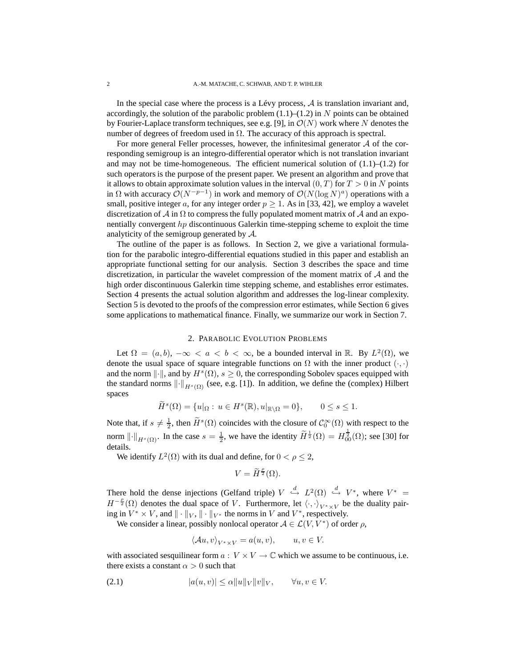In the special case where the process is a Lévy process,  $A$  is translation invariant and, accordingly, the solution of the parabolic problem  $(1.1)$ – $(1.2)$  in N points can be obtained by Fourier-Laplace transform techniques, see e.g. [9], in  $\mathcal{O}(N)$  work where N denotes the number of degrees of freedom used in  $\Omega$ . The accuracy of this approach is spectral.

For more general Feller processes, however, the infinitesimal generator  $A$  of the corresponding semigroup is an integro-differential operator which is not translation invariant and may not be time-homogeneous. The efficient numerical solution of  $(1.1)$ – $(1.2)$  for such operators is the purpose of the present paper. We present an algorithm and prove that it allows to obtain approximate solution values in the interval  $(0, T)$  for  $T > 0$  in N points in  $\Omega$  with accuracy  $\mathcal{O}(N^{-p-1})$  in work and memory of  $\mathcal{O}(N(\log N)^a)$  operations with a small, positive integer a, for any integer order  $p \ge 1$ . As in [33, 42], we employ a wavelet discretization of  $\mathcal A$  in  $\Omega$  to compress the fully populated moment matrix of  $\mathcal A$  and an exponentially convergent hp discontinuous Galerkin time-stepping scheme to exploit the time analyticity of the semigroup generated by A.

The outline of the paper is as follows. In Section 2, we give a variational formulation for the parabolic integro-differential equations studied in this paper and establish an appropriate functional setting for our analysis. Section 3 describes the space and time discretization, in particular the wavelet compression of the moment matrix of  $A$  and the high order discontinuous Galerkin time stepping scheme, and establishes error estimates. Section 4 presents the actual solution algorithm and addresses the log-linear complexity. Section 5 is devoted to the proofs of the compression error estimates, while Section 6 gives some applications to mathematical finance. Finally, we summarize our work in Section 7.

## 2. PARABOLIC EVOLUTION PROBLEMS

Let  $\Omega = (a, b), -\infty < a < b < \infty$ , be a bounded interval in R. By  $L^2(\Omega)$ , we denote the usual space of square integrable functions on  $\Omega$  with the inner product  $(\cdot, \cdot)$ and the norm  $\|\cdot\|$ , and by  $H^s(\Omega)$ ,  $s \geq 0$ , the corresponding Sobolev spaces equipped with the standard norms  $\left\| \cdot \right\|_{H^s(\Omega)}$  (see, e.g. [1]). In addition, we define the (complex) Hilbert spaces

$$
\widetilde{H}^s(\Omega) = \{u|_{\Omega} : u \in H^s(\mathbb{R}), u|_{\mathbb{R}\setminus\Omega} = 0\}, \qquad 0 \le s \le 1.
$$

Note that, if  $s \neq \frac{1}{2}$ , then  $\widetilde{H}^s(\Omega)$  coincides with the closure of  $\mathcal{C}_0^{\infty}(\Omega)$  with respect to the norm  $\|\cdot\|_{H^s(\Omega)}$ . In the case  $s = \frac{1}{2}$ , we have the identity  $\widetilde{H}^{\frac{1}{2}}(\Omega) = H^{\frac{1}{2}}_{00}(\Omega)$ ; see [30] for details.

We identify  $L^2(\Omega)$  with its dual and define, for  $0 < \rho \le 2$ ,

$$
V = \widetilde{H}^{\frac{\rho}{2}}(\Omega).
$$

There hold the dense injections (Gelfand triple)  $V \stackrel{d}{\hookrightarrow} L^2(\Omega) \stackrel{d}{\hookrightarrow} V^*$ , where  $V^* =$  $H^{-\frac{\rho}{2}}(\Omega)$  denotes the dual space of V. Furthermore, let  $\langle \cdot, \cdot \rangle_{V^* \times V}$  be the duality pairing in  $V^* \times V$ , and  $\| \cdot \|_V$ ,  $\| \cdot \|_{V^*}$  the norms in V and  $V^*$ , respectively.

We consider a linear, possibly nonlocal operator  $A \in \mathcal{L}(V, V^*)$  of order  $\rho$ ,

$$
\langle Au, v \rangle_{V^* \times V} = a(u, v), \qquad u, v \in V.
$$

with associated sesquilinear form  $a: V \times V \to \mathbb{C}$  which we assume to be continuous, i.e. there exists a constant  $\alpha > 0$  such that

$$
(2.1) \t\t |a(u,v)| \leq \alpha \|u\|_V \|v\|_V, \quad \forall u, v \in V.
$$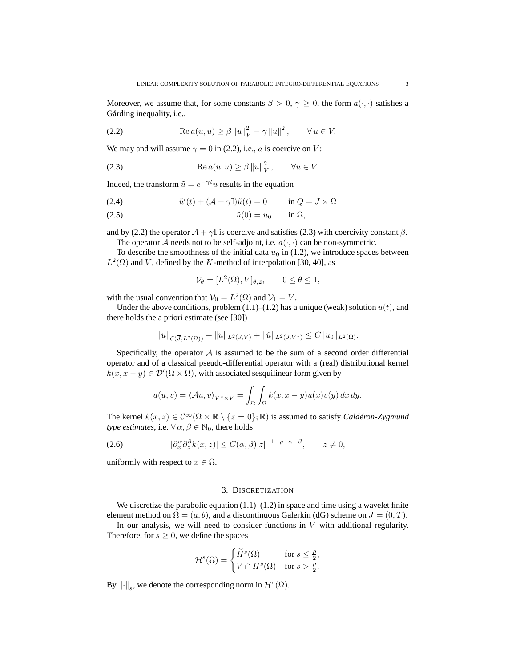Moreover, we assume that, for some constants  $\beta > 0$ ,  $\gamma \ge 0$ , the form  $a(\cdot, \cdot)$  satisfies a Gårding inequality, i.e.,

(2.2) 
$$
\text{Re } a(u, u) \ge \beta \|u\|_{V}^{2} - \gamma \|u\|^{2}, \qquad \forall u \in V.
$$

We may and will assume  $\gamma = 0$  in (2.2), i.e., a is coercive on V:

(2.3) 
$$
\operatorname{Re} a(u, u) \ge \beta \|u\|_{V}^{2}, \qquad \forall u \in V.
$$

Indeed, the transform  $\tilde{u} = e^{-\gamma t}u$  results in the equation

(2.4) 
$$
\tilde{u}'(t) + (\mathcal{A} + \gamma \mathbb{I})\tilde{u}(t) = 0 \qquad \text{in } Q = J \times \Omega
$$

(2.5) u˜(0) = u<sup>0</sup> in Ω,

and by (2.2) the operator  $\mathcal{A} + \gamma \mathbb{I}$  is coercive and satisfies (2.3) with coercivity constant  $\beta$ .

The operator A needs not to be self-adjoint, i.e.  $a(\cdot, \cdot)$  can be non-symmetric.

To describe the smoothness of the initial data  $u_0$  in (1.2), we introduce spaces between  $L^2(\Omega)$  and V, defined by the K-method of interpolation [30, 40], as

$$
\mathcal{V}_{\theta} = [L^2(\Omega), V]_{\theta,2}, \qquad 0 \le \theta \le 1,
$$

with the usual convention that  $V_0 = L^2(\Omega)$  and  $V_1 = V$ .

Under the above conditions, problem  $(1.1)$ – $(1.2)$  has a unique (weak) solution  $u(t)$ , and there holds the a priori estimate (see [30])

$$
||u||_{\mathcal{C}(\overline{J},L^2(\Omega))} + ||u||_{L^2(J,V)} + ||\dot{u}||_{L^2(J,V^*)} \leq C||u_0||_{L^2(\Omega)}.
$$

Specifically, the operator  $A$  is assumed to be the sum of a second order differential operator and of a classical pseudo-differential operator with a (real) distributional kernel  $k(x, x - y) \in \mathcal{D}'(\Omega \times \Omega)$ , with associated sesquilinear form given by

$$
a(u,v) = \langle Au, v \rangle_{V^* \times V} = \int_{\Omega} \int_{\Omega} k(x, x - y) u(x) \overline{v(y)} \, dx \, dy.
$$

The kernel  $k(x, z) \in C^{\infty}(\Omega \times \mathbb{R} \setminus \{z = 0\}; \mathbb{R})$  is assumed to satisfy *Caldéron-Zygmund type estimates*, i.e.  $\forall \alpha, \beta \in \mathbb{N}_0$ , there holds

(2.6) 
$$
|\partial_x^{\alpha} \partial_z^{\beta} k(x, z)| \le C(\alpha, \beta)|z|^{-1-\rho-\alpha-\beta}, \qquad z \ne 0,
$$

uniformly with respect to  $x \in \Omega$ .

#### 3. DISCRETIZATION

We discretize the parabolic equation  $(1.1)$ – $(1.2)$  in space and time using a wavelet finite element method on  $\Omega = (a, b)$ , and a discontinuous Galerkin (dG) scheme on  $J = (0, T)$ .

In our analysis, we will need to consider functions in  $V$  with additional regularity. Therefore, for  $s \geq 0$ , we define the spaces

$$
\mathcal{H}^s(\Omega) = \begin{cases} \widetilde{H}^s(\Omega) & \text{for } s \le \frac{\rho}{2}, \\ V \cap H^s(\Omega) & \text{for } s > \frac{\rho}{2}. \end{cases}
$$

By  $\|\cdot\|_s$ , we denote the corresponding norm in  $\mathcal{H}^s(\Omega)$ .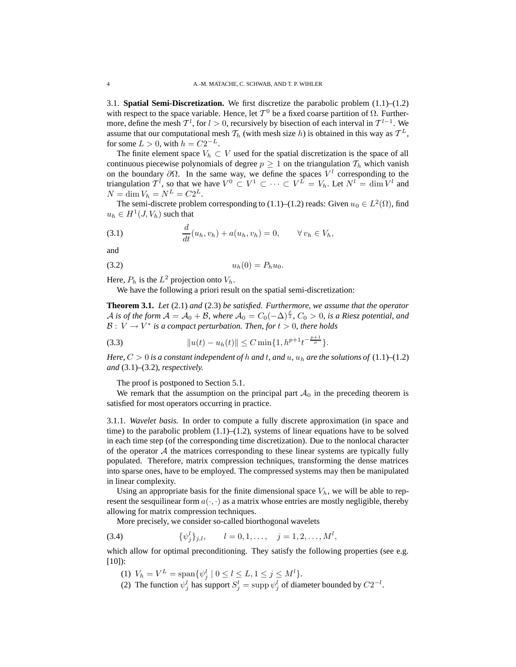3.1. **Spatial Semi-Discretization.** We first discretize the parabolic problem (1.1)–(1.2) with respect to the space variable. Hence, let  $T^0$  be a fixed coarse partition of  $\Omega$ . Furthermore, define the mesh  $\mathcal{T}^l$ , for  $l > 0$ , recursively by bisection of each interval in  $\mathcal{T}^{l-1}$ . We assume that our computational mesh  $\mathcal{T}_h$  (with mesh size h) is obtained in this way as  $\mathcal{T}^L$ , for some  $L > 0$ , with  $h = C2^{-L}$ .

The finite element space  $V_h \subset V$  used for the spatial discretization is the space of all continuous piecewise polynomials of degree  $p \geq 1$  on the triangulation  $\mathcal{T}_h$  which vanish on the boundary  $\partial\Omega$ . In the same way, we define the spaces  $V^l$  corresponding to the triangulation  $\mathcal{T}^l$ , so that we have  $V^0 \subset V^1 \subset \cdots \subset V^L = V_h$ . Let  $N^l = \dim V^l$  and  $N = \dim V_h = N^L = C2^L.$ 

The semi-discrete problem corresponding to (1.1)–(1.2) reads: Given  $u_0 \in L^2(\Omega)$ , find  $u_h \in H^1(J, V_h)$  such that

(3.1) 
$$
\frac{d}{dt}(u_h, v_h) + a(u_h, v_h) = 0, \qquad \forall v_h \in V_h,
$$

and

$$
(3.2) \t\t u_h(0) = P_h u_0.
$$

Here,  $P_h$  is the  $L^2$  projection onto  $V_h$ .

We have the following a priori result on the spatial semi-discretization:

**Theorem 3.1.** *Let* (2.1) *and* (2.3) *be satisfied. Furthermore, we assume that the operator* A is of the form  $A = A_0 + B$ , where  $A_0 = C_0(-\Delta)^{\frac{\rho}{2}}$ ,  $C_0 > 0$ , is a Riesz potential, and  $\mathcal{B}: V \to V^*$  *is a compact perturbation. Then, for*  $t > 0$ *, there holds* 

(3.3) 
$$
||u(t) - u_h(t)|| \leq C \min\{1, h^{p+1}t^{-\frac{p+1}{\rho}}\}.
$$

*Here,*  $C > 0$  *is a constant independent of h and t, and u, u<sub>h</sub> are the solutions of* (1.1)–(1.2) *and* (3.1)*–*(3.2)*, respectively.*

The proof is postponed to Section 5.1.

We remark that the assumption on the principal part  $A_0$  in the preceding theorem is satisfied for most operators occurring in practice.

3.1.1. *Wavelet basis.* In order to compute a fully discrete approximation (in space and time) to the parabolic problem  $(1.1)$ – $(1.2)$ , systems of linear equations have to be solved in each time step (of the corresponding time discretization). Due to the nonlocal character of the operator  $A$  the matrices corresponding to these linear systems are typically fully populated. Therefore, matrix compression techniques, transforming the dense matrices into sparse ones, have to be employed. The compressed systems may then be manipulated in linear complexity.

Using an appropriate basis for the finite dimensional space  $V<sub>h</sub>$ , we will be able to represent the sesquilinear form  $a(\cdot, \cdot)$  as a matrix whose entries are mostly negligible, thereby allowing for matrix compression techniques.

More precisely, we consider so-called biorthogonal wavelets

(3.4) 
$$
\{\psi_j^l\}_{j,l}, \qquad l = 0, 1, \ldots, \quad j = 1, 2, \ldots, M^l,
$$

which allow for optimal preconditioning. They satisfy the following properties (see e.g. [10]):

- (1)  $V_h = V^L = \text{span}\{\psi_j^l \mid 0 \le l \le L, 1 \le j \le M^l\}.$
- (2) The function  $\psi_j^l$  has support  $S_j^l = \text{supp } \psi_j^l$  of diameter bounded by  $C2^{-l}$ .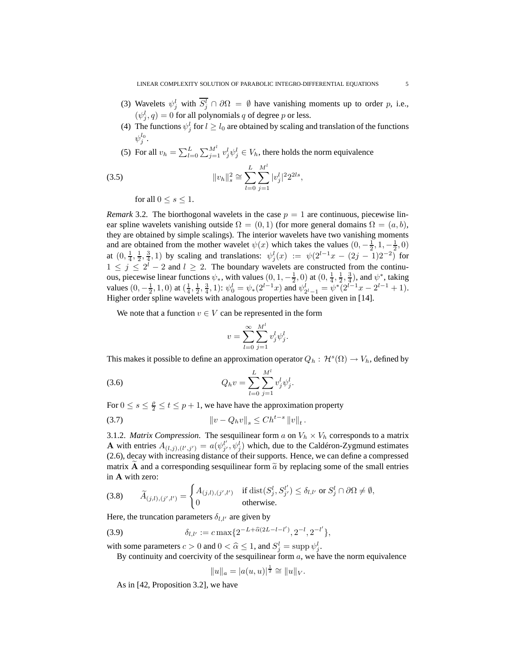- (3) Wavelets  $\psi_j^l$  with  $S_j^l \cap \partial \Omega = \emptyset$  have vanishing moments up to order p, i.e.,  $(\psi_j^l, q) = 0$  for all polynomials q of degree p or less.
- (4) The functions  $\psi_j^l$  for  $l \geq l_0$  are obtained by scaling and translation of the functions  $\psi^{l_0}_j.$
- (5) For all  $v_h = \sum_{l=0}^{L} \sum_{j=1}^{M^l} v_j^l \psi_j^l \in V_h$ , there holds the norm equivalence

(3.5) 
$$
||v_h||_s^2 \cong \sum_{l=0}^L \sum_{j=1}^{M^l} |v_j^l|^2 2^{2ls},
$$

for all  $0 \leq s \leq 1$ .

*Remark* 3.2. The biorthogonal wavelets in the case  $p = 1$  are continuous, piecewise linear spline wavelets vanishing outside  $\Omega = (0, 1)$  (for more general domains  $\Omega = (a, b)$ , they are obtained by simple scalings). The interior wavelets have two vanishing moments and are obtained from the mother wavelet  $\psi(x)$  which takes the values  $(0, -\frac{1}{2}, 1, -\frac{1}{2}, 0)$ at  $(0, \frac{1}{4}, \frac{1}{2}, \frac{3}{4}, 1)$  by scaling and translations:  $\psi_j^l(x) := \psi(2^{l-1}x - (2j-1)2^{-2})$  for  $1 \leq j \leq 2^l - 2$  and  $l \geq 2$ . The boundary wavelets are constructed from the continuous, piecewise linear functions  $\psi_*$ , with values  $(0, 1, -\frac{1}{2}, 0)$  at  $(0, \frac{1}{4}, \frac{1}{2}, \frac{3}{4})$ , and  $\psi^*$ , taking values  $(0, -\frac{1}{2}, 1, 0)$  at  $(\frac{1}{4}, \frac{1}{2}, \frac{3}{4}, 1)$ :  $\psi_0^l = \psi_*(2^{l-1}x)$  and  $\psi_{2^l-1}^l = \psi^*(2^{l-1}x - 2^{l-1} + 1)$ . Higher order spline wavelets with analogous properties have been given in [14].

We note that a function  $v \in V$  can be represented in the form

$$
v = \sum_{l=0}^{\infty} \sum_{j=1}^{M^l} v_j^l \psi_j^l
$$

.

This makes it possible to define an approximation operator  $Q_h: \mathcal{H}^s(\Omega) \to V_h$ , defined by

(3.6) 
$$
Q_h v = \sum_{l=0}^L \sum_{j=1}^{M^l} v_j^l \psi_j^l.
$$

For  $0 \le s \le \frac{\rho}{2} \le t \le p + 1$ , we have have the approximation property

(3.7) 
$$
\|v - Q_h v\|_s \leq Ch^{t-s} \|v\|_t.
$$

3.1.2. *Matrix Compression.* The sesquilinear form a on  $V_h \times V_h$  corresponds to a matrix **A** with entries  $A_{(l,j),(l',j')} = a(\psi_{j'}^{l'}, \psi_j^l)$  which, due to the Caldéron-Zygmund estimates (2.6), decay with increasing distance of their supports. Hence, we can define a compressed matrix A and a corresponding sesquilinear form  $\tilde{a}$  by replacing some of the small entries in A with zero:

(3.8) 
$$
\widetilde{A}_{(j,l),(j',l')} = \begin{cases} A_{(j,l),(j',l')} & \text{if } \text{dist}(S_j^l, S_{j'}^{l'}) \le \delta_{l,l'} \text{ or } S_j^l \cap \partial\Omega \neq \emptyset, \\ 0 & \text{otherwise.} \end{cases}
$$

Here, the truncation parameters  $\delta_{l,l'}$  are given by

(3.9) 
$$
\delta_{l,l'} := c \max\{2^{-L+\widehat{\alpha}(2L-l-l')}, 2^{-l}, 2^{-l'}\},
$$

with some parameters  $c > 0$  and  $0 < \hat{\alpha} \le 1$ , and  $S_j^l = \text{supp } \psi_j^l$ .

By continuity and coercivity of the sesquilinear form  $a$ , we have the norm equivalence

$$
||u||_a = |a(u, u)|^{\frac{1}{2}} \cong ||u||_V.
$$

As in [42, Proposition 3.2], we have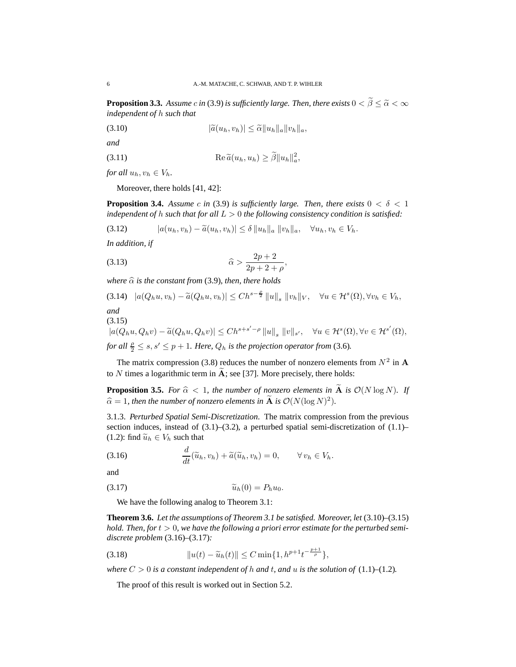**Proposition 3.3.** *Assume c in* (3.9) *is sufficiently large. Then, there exists*  $0 < \widetilde{\beta} \leq \widetilde{\alpha} < \infty$ *independent of* h *such that*

$$
|\widetilde{a}(u_h, v_h)| \leq \widetilde{\alpha} \|u_h\|_a \|v_h\|_a,
$$

*and*

(3.11) 
$$
\operatorname{Re} \widetilde{a}(u_h, u_h) \ge \widetilde{\beta} \|u_h\|_a^2,
$$

*for all*  $u_h, v_h \in V_h$ *.* 

Moreover, there holds [41, 42]:

**Proposition 3.4.** *Assume c in* (3.9) *is sufficiently large. Then, there exists*  $0 < \delta < 1$ *independent of* h *such that for all* L > 0 *the following consistency condition is satisfied:*

$$
(3.12) \qquad |a(u_h, v_h) - \widetilde{a}(u_h, v_h)| \leq \delta \|u_h\|_a \|v_h\|_a, \quad \forall u_h, v_h \in V_h.
$$

*In addition, if*

$$
\widehat{\alpha} > \frac{2p+2}{2p+2+\rho},
$$

*where*  $\hat{\alpha}$  *is the constant from* (3.9)*, then, there holds* 

$$
(3.14) \quad |a(Q_hu, v_h) - \widetilde{a}(Q_hu, v_h)| \leq Ch^{s-\frac{\rho}{2}} \|u\|_s \|v_h\|_V, \quad \forall u \in \mathcal{H}^s(\Omega), \forall v_h \in V_h,
$$

*and*  $(3.15)$ 

$$
|a(Q_hu, Q_hv) - \widetilde{a}(Q_hu, Q_hv)| \le Ch^{s+s'-\rho} \|u\|_s \|v\|_{s'}, \quad \forall u \in \mathcal{H}^s(\Omega), \forall v \in \mathcal{H}^{s'}(\Omega),
$$

*for all*  $\frac{\rho}{2} \leq s, s' \leq p + 1$ *. Here,*  $Q_h$  *is the projection operator from* (3.6)*.* 

The matrix compression (3.8) reduces the number of nonzero elements from  $N^2$  in A to  $N$  times a logarithmic term in  $A$ ; see [37]. More precisely, there holds:

**Proposition 3.5.** For  $\hat{\alpha} < 1$ , the number of nonzero elements in  $\tilde{A}$  is  $\mathcal{O}(N \log N)$ . If  $\widehat{\alpha} = 1$ *, then the number of nonzero elements in*  $\widehat{A}$  *is*  $\mathcal{O}(N(\log N)^2)$ *.* 

3.1.3. *Perturbed Spatial Semi-Discretization.* The matrix compression from the previous section induces, instead of  $(3.1)$ – $(3.2)$ , a perturbed spatial semi-discretization of  $(1.1)$ – (1.2): find  $\widetilde{u}_h \in V_h$  such that

(3.16) 
$$
\frac{d}{dt}(\widetilde{u}_h, v_h) + \widetilde{a}(\widetilde{u}_h, v_h) = 0, \qquad \forall v_h \in V_h.
$$

and

$$
\widetilde{u}_h(0) = P_h u_0.
$$

We have the following analog to Theorem 3.1:

**Theorem 3.6.** *Let the assumptions of Theorem 3.1 be satisfied. Moreover, let* (3.10)*–*(3.15) *hold. Then, for* t > 0*, we have the following a priori error estimate for the perturbed semidiscrete problem* (3.16)*–*(3.17)*:*

 $p+1$ 

(3.18) <sup>k</sup>u(t) <sup>−</sup> <sup>u</sup>eh(t)<sup>k</sup> <sup>≤</sup> <sup>C</sup> min{1, <sup>h</sup> <sup>p</sup>+1t − <sup>ρ</sup> },

*where*  $C > 0$  *is a constant independent of*  $h$  *and*  $t$ *, and*  $u$  *is the solution of* (1.1)–(1.2)*.* 

The proof of this result is worked out in Section 5.2.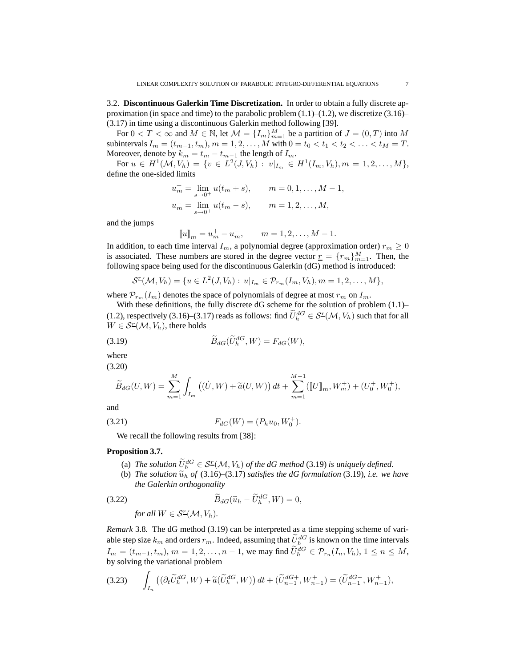3.2. **Discontinuous Galerkin Time Discretization.** In order to obtain a fully discrete approximation (in space and time) to the parabolic problem  $(1.1)$ – $(1.2)$ , we discretize  $(3.16)$ – (3.17) in time using a discontinuous Galerkin method following [39].

For  $0 < T < \infty$  and  $M \in \mathbb{N}$ , let  $\mathcal{M} = \{I_m\}_{m=1}^M$  be a partition of  $J = (0, T)$  into  $M$ subintervals  $I_m = (t_{m-1}, t_m)$ ,  $m = 1, 2, ..., M$  with  $0 = t_0 < t_1 < t_2 < ... < t_M = T$ . Moreover, denote by  $k_m = t_m - t_{m-1}$  the length of  $I_m$ .

For  $u \in H^1(\mathcal{M}, V_h) = \{v \in L^2(J, V_h) : v|_{I_m} \in H^1(I_m, V_h), m = 1, 2, \ldots, M\},\$ define the one-sided limits

$$
u_m^+ = \lim_{s \to 0^+} u(t_m + s), \qquad m = 0, 1, \dots, M - 1,
$$
  

$$
u_m^- = \lim_{s \to 0^+} u(t_m - s), \qquad m = 1, 2, \dots, M,
$$

and the jumps

$$
[u]_m = u_m^+ - u_m^-, \qquad m = 1, 2, \dots, M - 1.
$$

In addition, to each time interval  $I_m$ , a polynomial degree (approximation order)  $r_m \geq 0$ is associated. These numbers are stored in the degree vector  $\underline{r} = \{r_m\}_{m=1}^M$ . Then, the following space being used for the discontinuous Galerkin (dG) method is introduced:

$$
\mathcal{S}^{\mathcal{I}}(\mathcal{M}, V_{h}) = \{ u \in L^{2}(J, V_{h}) : u|_{I_{m}} \in \mathcal{P}_{r_{m}}(I_{m}, V_{h}), m = 1, 2, ..., M \},\
$$

where  $\mathcal{P}_{r_m}(I_m)$  denotes the space of polynomials of degree at most  $r_m$  on  $I_m$ .

With these definitions, the fully discrete dG scheme for the solution of problem  $(1.1)$ -(1.2), respectively (3.16)–(3.17) reads as follows: find  $\tilde{U}^{dG}_h \in \mathcal{S}^{\mathcal{I}}(\mathcal{M}, V_h)$  such that for all  $W \in \mathcal{S}^{\mathcal{I}}(\mathcal{M}, V_h)$ , there holds

(3.19) 
$$
\widetilde{B}_{dG}(\widetilde{U}_h^{dG}, W) = F_{dG}(W),
$$

where

(3.20)  
\n
$$
\widetilde{B}_{dG}(U,W) = \sum_{m=1}^{M} \int_{I_m} ((\dot{U}, W) + \widetilde{a}(U, W)) dt + \sum_{m=1}^{M-1} ([[U]]_m, W_m^+) + (U_0^+, W_0^+),
$$

and

(3.21) 
$$
F_{dG}(W) = (P_h u_0, W_0^+).
$$

We recall the following results from [38]:

## **Proposition 3.7.**

(a) The solution  $\bar{U}_h^{dG} \in \mathcal{S}^{\mathcal{I}}(\mathcal{M}, V_h)$  of the dG method (3.19) is uniquely defined.

(b) *The solution*  $\tilde{u}_h$  *of* (3.16)–(3.17) *satisfies the dG formulation* (3.19)*, i.e. we have the Galerkin orthogonality*

(3.22) 
$$
\widetilde{B}_{dG}(\widetilde{u}_h - \widetilde{U}_h^{dG}, W) = 0,
$$
  
for all  $W \in \mathcal{S}^{\mathcal{I}}(\mathcal{M}, V_h).$ 

*Remark* 3.8*.* The dG method (3.19) can be interpreted as a time stepping scheme of variable step size  $k_m$  and orders  $r_m$ . Indeed, assuming that  $\dot{U}_h^{dG}$  is known on the time intervals  $I_m = (t_{m-1}, t_m), m = 1, 2, ..., n-1$ , we may find  $\hat{U}_h^{dG} \in \mathcal{P}_{r_n}(I_n, V_h), 1 \le n \le M$ , by solving the variational problem

$$
(3.23) \qquad \int_{I_n} \left( (\partial_t \widetilde{U}_h^{dG}, W) + \widetilde{a}(\widetilde{U}_h^{dG}, W) \right) dt + (\widetilde{U}_{n-1}^{dG+}, W_{n-1}^+) = (\widetilde{U}_{n-1}^{dG-}, W_{n-1}^+),
$$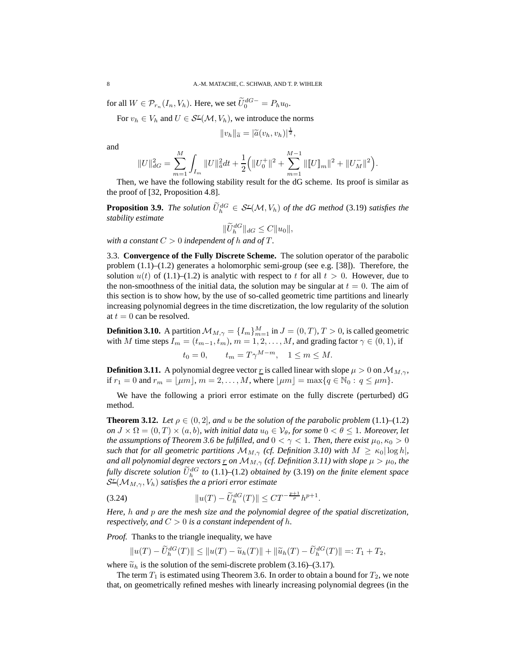for all  $W \in \mathcal{P}_{r_n}(I_n, V_h)$ . Here, we set  $\widetilde{U}_0^{dG-} = P_h u_0$ .

For  $v_h \in V_h$  and  $U \in \mathcal{S}^{\mathcal{I}}(\mathcal{M}, V_h)$ , we introduce the norms

$$
||v_h||_{\widetilde{a}} = |\widetilde{a}(v_h, v_h)|^{\frac{1}{2}},
$$

and

$$
||U||_{dG}^2 = \sum_{m=1}^M \int_{I_m} ||U||_{\tilde{a}}^2 dt + \frac{1}{2} (||U_0^+||^2 + \sum_{m=1}^{M-1} ||[U||_m||^2 + ||U_M^-||^2).
$$

Then, we have the following stability result for the dG scheme. Its proof is similar as the proof of [32, Proposition 4.8].

**Proposition 3.9.** *The solution*  $\tilde{U}_h^{dG} \in \mathcal{S}^{\mathcal{I}}(\mathcal{M}, V_h)$  *of the dG method* (3.19) *satisfies the stability estimate*

$$
\|\widetilde{U}_h^{dG}\|_{dG} \leq C \|u_0\|,
$$

*with a constant*  $C > 0$  *independent of h and of*  $T$ *.* 

3.3. **Convergence of the Fully Discrete Scheme.** The solution operator of the parabolic problem  $(1.1)$ – $(1.2)$  generates a holomorphic semi-group (see e.g. [38]). Therefore, the solution  $u(t)$  of (1.1)–(1.2) is analytic with respect to t for all  $t > 0$ . However, due to the non-smoothness of the initial data, the solution may be singular at  $t = 0$ . The aim of this section is to show how, by the use of so-called geometric time partitions and linearly increasing polynomial degrees in the time discretization, the low regularity of the solution at  $t = 0$  can be resolved.

**Definition 3.10.** A partition  $M_{M,\gamma} = \{I_m\}_{m=1}^M$  in  $J = (0, T), T > 0$ , is called geometric with M time steps  $I_m = (t_{m-1}, t_m)$ ,  $m = 1, 2, ..., M$ , and grading factor  $\gamma \in (0, 1)$ , if

$$
t_0 = 0, \qquad t_m = T\gamma^{M-m}, \quad 1 \le m \le M.
$$

**Definition 3.11.** A polynomial degree vector r is called linear with slope  $\mu > 0$  on  $\mathcal{M}_{M,\gamma}$ , if  $r_1 = 0$  and  $r_m = |\mu m|, m = 2, ..., M$ , where  $|\mu m| = \max\{q \in \mathbb{N}_0 : q \leq \mu m\}.$ 

We have the following a priori error estimate on the fully discrete (perturbed) dG method.

**Theorem 3.12.** *Let*  $\rho \in (0, 2]$ *, and u be the solution of the parabolic problem*  $(1.1)–(1.2)$ *on*  $J \times \Omega = (0, T) \times (a, b)$ *, with initial data*  $u_0 \in V_\theta$ *, for some*  $0 < \theta \leq 1$ *. Moreover, let the* assumptions of Theorem 3.6 be fulfilled, and  $0 < \gamma < 1$ . Then, there exist  $\mu_0, \kappa_0 > 0$ *such that for all geometric partitions*  $\mathcal{M}_{M,\gamma}$  *(cf. Definition 3.10)* with  $M \geq \kappa_0 |\log h|$ *, and all polynomial degree vectors* <u>r</u> *on*  $M_{M,\gamma}$  *(cf. Definition* 3.11) *with slope*  $\mu > \mu_0$ *, the fully* discrete solution  $\widetilde{U}_h^{\,dG}$  to (1.1)–(1.2) obtained by (3.19) on the finite element space S r (MM,γ, Vh) *satisfies the a priori error estimate*

(3.24) 
$$
||u(T) - \tilde{U}_h^{dG}(T)|| \leq C T^{-\frac{p+1}{\rho}} h^{p+1}.
$$

*Here,* h *and* p *are the mesh size and the polynomial degree of the spatial discretization, respectively, and*  $C > 0$  *is a constant independent of h.* 

*Proof.* Thanks to the triangle inequality, we have

 $||u(T) - \tilde{U}_h^{dG}(T)|| \le ||u(T) - \tilde{u}_h(T)|| + ||\tilde{u}_h(T) - \tilde{U}_h^{dG}(T)|| =: T_1 + T_2,$ 

where  $\tilde{u}_h$  is the solution of the semi-discrete problem (3.16)–(3.17).

The term  $T_1$  is estimated using Theorem 3.6. In order to obtain a bound for  $T_2$ , we note that, on geometrically refined meshes with linearly increasing polynomial degrees (in the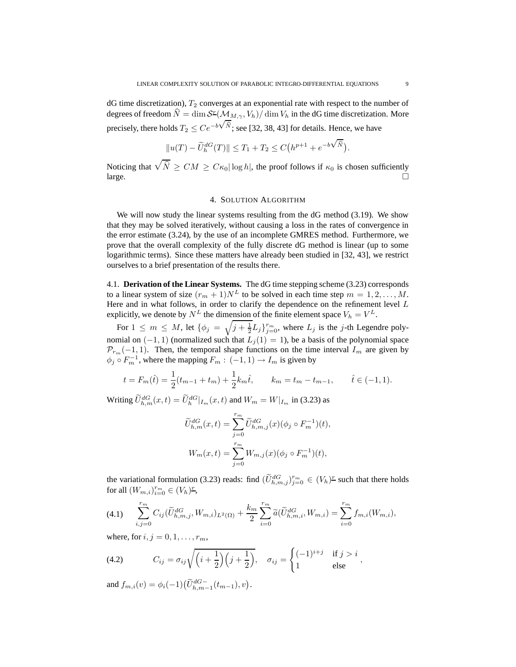dG time discretization),  $T_2$  converges at an exponential rate with respect to the number of degrees of freedom  $\hat{N} = \dim \mathcal{S}^{\text{r}}(\mathcal{M}_{M,\gamma}, V_h) / \dim V_h$  in the dG time discretization. More precisely, there holds  $T_2 \leq Ce^{-b\sqrt{\widehat{N}}}$ ; see [32, 38, 43] for details. Hence, we have

$$
\|u(T)-\widetilde{U}^{dG}_h(T)\|\leq T_1+T_2\leq C\big(h^{p+1}+e^{-b\sqrt{\widehat{N}}}\big).
$$

Noticing that  $\sqrt{\hat{N}} \ge CM \ge C\kappa_0 |\log h|$ , the proof follows if  $\kappa_0$  is chosen sufficiently  $\Box$ 

#### 4. SOLUTION ALGORITHM

We will now study the linear systems resulting from the dG method  $(3.19)$ . We show that they may be solved iteratively, without causing a loss in the rates of convergence in the error estimate (3.24), by the use of an incomplete GMRES method. Furthermore, we prove that the overall complexity of the fully discrete dG method is linear (up to some logarithmic terms). Since these matters have already been studied in [32, 43], we restrict ourselves to a brief presentation of the results there.

4.1. **Derivation of the Linear Systems.** The dG time stepping scheme (3.23) corresponds to a linear system of size  $(r_m + 1)N^L$  to be solved in each time step  $m = 1, 2, ..., M$ . Here and in what follows, in order to clarify the dependence on the refinement level  $L$ explicitly, we denote by  $N^L$  the dimension of the finite element space  $V_h = V^L$ .

For  $1 \leq m \leq M$ , let  $\{\phi_j = \sqrt{j + \frac{1}{2}}L_j\}_{j=0}^{r_m}$ , where  $L_j$  is the j-th Legendre polynomial on  $(-1, 1)$  (normalized such that  $L_j(1) = 1$ ), be a basis of the polynomial space  $\mathcal{P}_{r_m}(-1, 1)$ . Then, the temporal shape functions on the time interval  $I_m$  are given by  $\phi_j \circ F_m^{-1}$ , where the mapping  $F_m : (-1,1) \to I_m$  is given by

$$
t = F_m(\hat{t}) = \frac{1}{2}(t_{m-1} + t_m) + \frac{1}{2}k_m\hat{t}, \qquad k_m = t_m - t_{m-1}, \qquad \hat{t} \in (-1, 1).
$$

Writing  $\widetilde{U}_{h,m}^{dG}(x,t) = \widetilde{U}_{h}^{dG}|_{I_m}(x,t)$  and  $W_m = W|_{I_m}$  in (3.23) as

$$
\widetilde{U}_{h,m}^{dG}(x,t) = \sum_{j=0}^{r_m} \widetilde{U}_{h,m,j}^{dG}(x)(\phi_j \circ F_m^{-1})(t),
$$
  

$$
W_m(x,t) = \sum_{j=0}^{r_m} W_{m,j}(x)(\phi_j \circ F_m^{-1})(t),
$$

the variational formulation (3.23) reads: find  $(\widetilde{U}_{h,m,j}^{dG})_{j=0}^{r_m} \in (V_h)^r$  such that there holds for all  $(W_{m,i})_{i=0}^{r_m} \in (V_h)^r$ ,

$$
(4.1) \qquad \sum_{i,j=0}^{r_m} C_{ij} (\widetilde{U}_{h,m,j}^{dG}, W_{m,i})_{L^2(\Omega)} + \frac{k_m}{2} \sum_{i=0}^{r_m} \widetilde{a} (\widetilde{U}_{h,m,i}^{dG}, W_{m,i}) = \sum_{i=0}^{r_m} f_{m,i}(W_{m,i}),
$$

where, for  $i, j = 0, 1, \ldots, r_m$ ,

(4.2) 
$$
C_{ij} = \sigma_{ij} \sqrt{\left(i + \frac{1}{2}\right)\left(j + \frac{1}{2}\right)}, \quad \sigma_{ij} = \begin{cases} (-1)^{i+j} & \text{if } j > i \\ 1 & \text{else} \end{cases},
$$

and  $f_{m,i}(v) = \phi_i(-1) \left( \widetilde{U}_{h,m-1}^{dG-}(t_{m-1}), v \right)$ .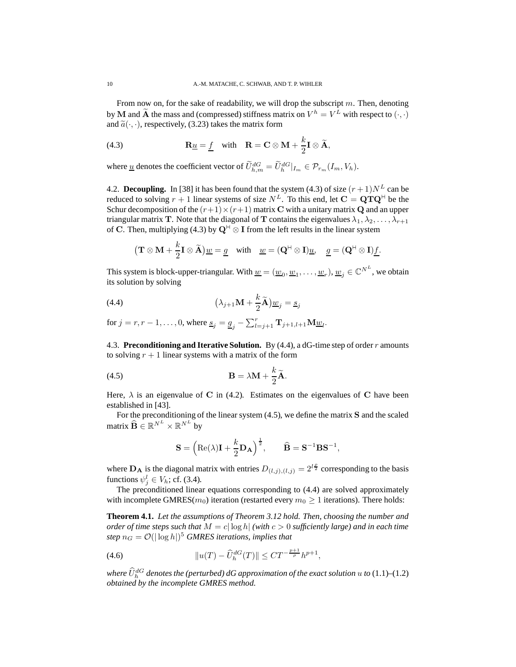From now on, for the sake of readability, we will drop the subscript  $m$ . Then, denoting by **M** and **A** the mass and (compressed) stiffness matrix on  $V^h = V^L$  with respect to  $(\cdot, \cdot)$ and  $\tilde{a}(\cdot, \cdot)$ , respectively, (3.23) takes the matrix form

(4.3) 
$$
\mathbf{R}\underline{u} = \underline{f} \quad \text{with} \quad \mathbf{R} = \mathbf{C} \otimes \mathbf{M} + \frac{k}{2} \mathbf{I} \otimes \widetilde{\mathbf{A}},
$$

where <u>u</u> denotes the coefficient vector of  $\tilde{U}_{h,m}^{dG} = \tilde{U}_h^{dG}|_{I_m} \in \mathcal{P}_{r_m}(I_m, V_h)$ .

4.2. **Decoupling.** In [38] it has been found that the system (4.3) of size  $(r + 1)N<sup>L</sup>$  can be reduced to solving  $r + 1$  linear systems of size  $N^L$ . To this end, let  $C = \mathbf{Q} \mathbf{T} \mathbf{Q}^{\mathsf{H}}$  be the Schur decomposition of the  $(r+1) \times (r+1)$  matrix C with a unitary matrix Q and an upper triangular matrix T. Note that the diagonal of T contains the eigenvalues  $\lambda_1, \lambda_2, \ldots, \lambda_{r+1}$ of C. Then, multiplying (4.3) by  $Q^H \otimes I$  from the left results in the linear system

$$
(\mathbf{T} \otimes \mathbf{M} + \frac{k}{2}\mathbf{I} \otimes \widetilde{\mathbf{A}})\underline{w} = \underline{g} \text{ with } \underline{w} = (\mathbf{Q}^{\mathsf{H}} \otimes \mathbf{I})\underline{u}, \underline{g} = (\mathbf{Q}^{\mathsf{H}} \otimes \mathbf{I})\underline{f}.
$$

This system is block-upper-triangular. With  $\underline{w} = (\underline{w}_0, \underline{w}_1, \dots, \underline{w}_r), \underline{w}_j \in \mathbb{C}^{N^L}$ , we obtain its solution by solving

(4.4) 
$$
(\lambda_{j+1} \mathbf{M} + \frac{k}{2} \widetilde{\mathbf{A}}) \underline{w}_j = \underline{s}_j
$$

for  $j = r, r - 1, \ldots, 0$ , where  $\underline{s}_j = \underline{g}_j - \sum_{l=j+1}^r \mathbf{T}_{j+1, l+1} \mathbf{M} \underline{w}_l$ .

4.3. **Preconditioning and Iterative Solution.** By (4.4), a dG-time step of order r amounts to solving  $r + 1$  linear systems with a matrix of the form

(4.5) 
$$
\mathbf{B} = \lambda \mathbf{M} + \frac{k}{2} \widetilde{\mathbf{A}}.
$$

Here,  $\lambda$  is an eigenvalue of C in (4.2). Estimates on the eigenvalues of C have been established in [43].

For the preconditioning of the linear system (4.5), we define the matrix S and the scaled matrix  $\widehat{\mathbf{B}} \in \mathbb{R}^{N^L} \times \mathbb{R}^{N^L}$  by

$$
\mathbf{S} = \left( \mathrm{Re}(\lambda) \mathbf{I} + \frac{k}{2} \mathbf{D}_{\mathbf{A}} \right)^{\frac{1}{2}}, \qquad \widehat{\mathbf{B}} = \mathbf{S}^{-1} \mathbf{B} \mathbf{S}^{-1},
$$

where  $\mathbf{D}_{\mathbf{A}}$  is the diagonal matrix with entries  $D_{(l,j),(l,j)} = 2^{l\frac{\rho}{2}}$  corresponding to the basis functions  $\psi_j^l \in V_h$ ; cf. (3.4).

The preconditioned linear equations corresponding to (4.4) are solved approximately with incomplete GMRES( $m_0$ ) iteration (restarted every  $m_0 \geq 1$  iterations). There holds:

**Theorem 4.1.** *Let the assumptions of Theorem 3.12 hold. Then, choosing the number and order of time steps such that*  $M = c \log h$  *(with*  $c > 0$  *sufficiently large*) *and in each time*  $step n_G = \mathcal{O}(|\log h|)^5$  *GMRES iterations, implies that* 

(4.6) 
$$
||u(T) - \widehat{U}_h^{dG}(T)|| \leq C T^{-\frac{p+1}{\rho}} h^{p+1},
$$

where  $\hat{U}^{dG}_{h}$  denotes the (perturbed) dG approximation of the exact solution  $u$  to  $(1.1)$ – $(1.2)$ *obtained by the incomplete GMRES method.*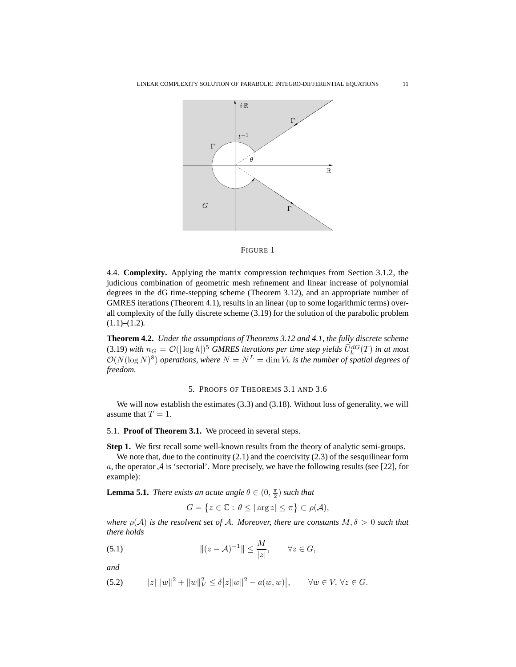



4.4. **Complexity.** Applying the matrix compression techniques from Section 3.1.2, the judicious combination of geometric mesh refinement and linear increase of polynomial degrees in the dG time-stepping scheme (Theorem 3.12), and an appropriate number of GMRES iterations (Theorem 4.1), results in an linear (up to some logarithmic terms) overall complexity of the fully discrete scheme (3.19) for the solution of the parabolic problem  $(1.1)$ – $(1.2)$ .

**Theorem 4.2.** *Under the assumptions of Theorems 3.12 and 4.1, the fully discrete scheme*  $(3.19)$  *with*  $n_G = \mathcal{O}(|\log h|)^5$  *GMRES iterations* per *time step yields*  $\hat{U}_h^{dG}(T)$  *in at most*  $\mathcal{O}(N(\log N)^8)$  operations, where  $N = N^L = \dim V_h$  is the number of spatial degrees of *freedom.*

#### 5. PROOFS OF THEOREMS 3.1 AND 3.6

We will now establish the estimates (3.3) and (3.18). Without loss of generality, we will assume that  $T = 1$ .

## 5.1. **Proof of Theorem 3.1.** We proceed in several steps.

**Step 1.** We first recall some well-known results from the theory of analytic semi-groups.

We note that, due to the continuity (2.1) and the coercivity (2.3) of the sesquilinear form a, the operator  $A$  is 'sectorial'. More precisely, we have the following results (see [22], for example):

**Lemma 5.1.** *There exists an acute angle*  $\theta \in (0, \frac{\pi}{2})$  *such that* 

$$
G=\left\{z\in\mathbb{C}:\,\theta\leq|\arg z|\leq\pi\right\}\subset\rho(\mathcal{A}),
$$

*where*  $\rho(A)$  *is the resolvent set of A. Moreover, there are constants*  $M, \delta > 0$  *such that there holds*

(5.1) 
$$
\|(z-\mathcal{A})^{-1}\| \leq \frac{M}{|z|}, \qquad \forall z \in G,
$$

*and*

(5.2) 
$$
|z| \|w\|^2 + \|w\|_V^2 \le \delta |z| \|w\|^2 - a(w, w)\big|, \qquad \forall w \in V, \forall z \in G.
$$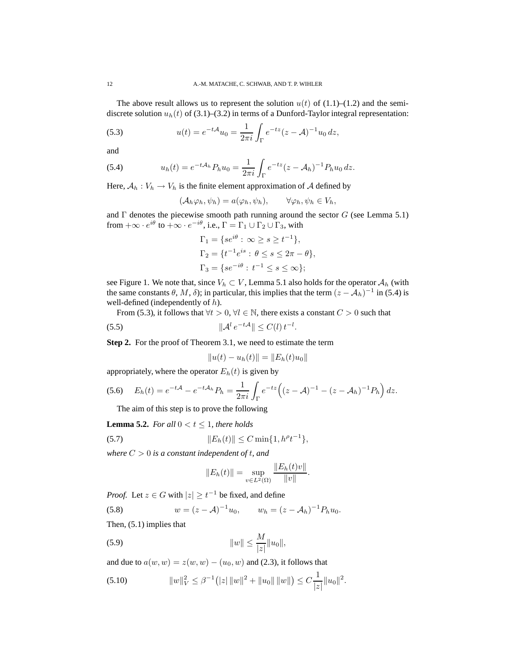The above result allows us to represent the solution  $u(t)$  of (1.1)–(1.2) and the semidiscrete solution  $u_h(t)$  of (3.1)–(3.2) in terms of a Dunford-Taylor integral representation:

(5.3) 
$$
u(t) = e^{-t\mathcal{A}}u_0 = \frac{1}{2\pi i}\int_{\Gamma} e^{-tz}(z-\mathcal{A})^{-1}u_0 dz,
$$

and

(5.4) 
$$
u_h(t) = e^{-t\mathcal{A}_h} P_h u_0 = \frac{1}{2\pi i} \int_{\Gamma} e^{-tz} (z - \mathcal{A}_h)^{-1} P_h u_0 dz.
$$

Here,  $A_h : V_h \to V_h$  is the finite element approximation of A defined by

$$
(\mathcal{A}_h\varphi_h,\psi_h)=a(\varphi_h,\psi_h),\qquad\forall\varphi_h,\psi_h\in V_h,
$$

and  $\Gamma$  denotes the piecewise smooth path running around the sector  $G$  (see Lemma 5.1) from  $+\infty \cdot e^{i\theta}$  to  $+\infty \cdot e^{-i\theta}$ , i.e.,  $\Gamma = \Gamma_1 \cup \Gamma_2 \cup \Gamma_3$ , with

$$
\Gamma_1 = \{se^{i\theta} : \infty \ge s \ge t^{-1}\},
$$
  
\n
$$
\Gamma_2 = \{t^{-1}e^{is} : \theta \le s \le 2\pi - \theta\},
$$
  
\n
$$
\Gamma_3 = \{se^{-i\theta} : t^{-1} \le s \le \infty\};
$$

see Figure 1. We note that, since  $V_h \subset V$ , Lemma 5.1 also holds for the operator  $A_h$  (with the same constants  $\theta$ ,  $M$ ,  $\delta$ ); in particular, this implies that the term  $(z - A_h)^{-1}$  in (5.4) is well-defined (independently of h).

From (5.3), it follows that  $\forall t > 0, \forall l \in \mathbb{N}$ , there exists a constant  $C > 0$  such that

$$
(5.5) \t\t\t\t \|\mathcal{A}^l e^{-t\mathcal{A}}\| \le C(l) t^{-l}.
$$

**Step 2.** For the proof of Theorem 3.1, we need to estimate the term

$$
||u(t) - u_h(t)|| = ||E_h(t)u_0||
$$

appropriately, where the operator  $E_h(t)$  is given by

$$
(5.6) \tEh(t) = e^{-tA} - e^{-tA_h}P_h = \frac{1}{2\pi i}\int_{\Gamma} e^{-tz} \left( (z - A)^{-1} - (z - A_h)^{-1}P_h \right) dz.
$$

The aim of this step is to prove the following

**Lemma 5.2.** *For all*  $0 < t \leq 1$ *, there holds* 

(5.7) 
$$
||E_h(t)|| \leq C \min\{1, h^{\rho}t^{-1}\},
$$

*where*  $C > 0$  *is a constant independent of t, and* 

$$
||E_h(t)|| = \sup_{v \in L^2(\Omega)} \frac{||E_h(t)v||}{||v||}.
$$

*Proof.* Let  $z \in G$  with  $|z| \ge t^{-1}$  be fixed, and define

(5.8) 
$$
w = (z - A)^{-1}u_0, \qquad w_h = (z - A_h)^{-1}P_hu_0.
$$

Then, (5.1) implies that

(5.9) 
$$
\|w\| \le \frac{M}{|z|} \|u_0\|,
$$

and due to  $a(w, w) = z(w, w) - (u_0, w)$  and (2.3), it follows that

(5.10) 
$$
||w||_V^2 \leq \beta^{-1} (|z| ||w||^2 + ||u_0|| ||w||) \leq C \frac{1}{|z|} ||u_0||^2.
$$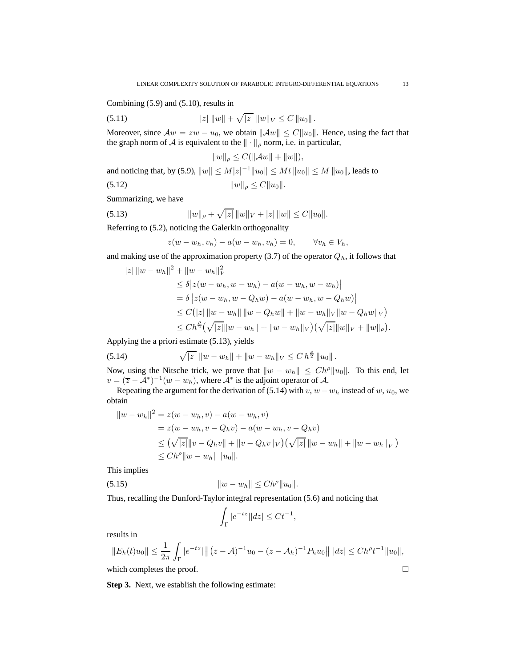Combining (5.9) and (5.10), results in

(5.11) 
$$
|z| \|w\| + \sqrt{|z|} \|w\|_V \leq C \|u_0\|.
$$

Moreover, since  $Aw = zw - u_0$ , we obtain  $||Aw|| \leq C||u_0||$ . Hence, using the fact that the graph norm of A is equivalent to the  $\|\cdot\|_{\rho}$  norm, i.e. in particular,

$$
||w||_{\rho}\leq C(||\mathcal{A}w||+||w||),
$$

and noticing that, by (5.9),  $||w|| \le M|z|^{-1}||u_0|| \le Mt||u_0|| \le M||u_0||$ , leads to (5.12)  $||w||_{\rho} \leq C||u_0||.$ 

Summarizing, we have

(5.13) 
$$
||w||_{\rho} + \sqrt{|z|} ||w||_{V} + |z| ||w|| \leq C ||u_0||.
$$

Referring to (5.2), noticing the Galerkin orthogonality

$$
z(w - w_h, v_h) - a(w - w_h, v_h) = 0, \qquad \forall v_h \in V_h,
$$

and making use of the approximation property (3.7) of the operator  $Q_h$ , it follows that

$$
|z| \|w - w_h\|^2 + \|w - w_h\|_V^2
$$
  
\n
$$
\leq \delta |z(w - w_h, w - w_h) - a(w - w_h, w - w_h)|
$$
  
\n
$$
= \delta |z(w - w_h, w - Q_h w) - a(w - w_h, w - Q_h w)|
$$
  
\n
$$
\leq C (|z| \|w - w_h\| \|w - Q_h w\| + \|w - w_h\|_V \|w - Q_h w\|_V)
$$
  
\n
$$
\leq C h^{\frac{\rho}{2}} (\sqrt{|z|} \|w - w_h\| + \|w - w_h\|_V) (\sqrt{|z|} \|w\|_V + \|w\|_\rho).
$$

Applying the a priori estimate (5.13), yields

(5.14) 
$$
\sqrt{|z|}\,\|w-w_h\|+\|w-w_h\|_V\leq C\,h^{\frac{\rho}{2}}\,\|u_0\|.
$$

Now, using the Nitsche trick, we prove that  $\|w - w_h\| \leq Ch^{\rho} \|u_0\|$ . To this end, let  $v = (\overline{z} - A^*)^{-1}(w - w_h)$ , where  $A^*$  is the adjoint operator of A.

Repeating the argument for the derivation of (5.14) with v,  $w - w_h$  instead of w,  $u_0$ , we obtain

$$
||w - w_h||^2 = z(w - w_h, v) - a(w - w_h, v)
$$
  
=  $z(w - w_h, v - Q_h v) - a(w - w_h, v - Q_h v)$   
 $\leq (\sqrt{|z|}||v - Q_h v|| + ||v - Q_h v||_V)(\sqrt{|z|}||w - w_h|| + ||w - w_h||_V)$   
 $\leq Ch^{\rho}||w - w_h|| ||u_0||.$ 

This implies

(5.15) 
$$
||w - w_h|| \leq Ch^{\rho} ||u_0||.
$$

Thus, recalling the Dunford-Taylor integral representation (5.6) and noticing that

$$
\int_{\Gamma} |e^{-tz}||dz| \le Ct^{-1},
$$

results in

$$
||E_h(t)u_0|| \le \frac{1}{2\pi} \int_{\Gamma} |e^{-tz}| ||(z - A)^{-1}u_0 - (z - A_h)^{-1}P_hu_0|| \, |dz| \le Ch^{\rho}t^{-1}||u_0||,
$$
  
which completes the proof.

**Step 3.** Next, we establish the following estimate: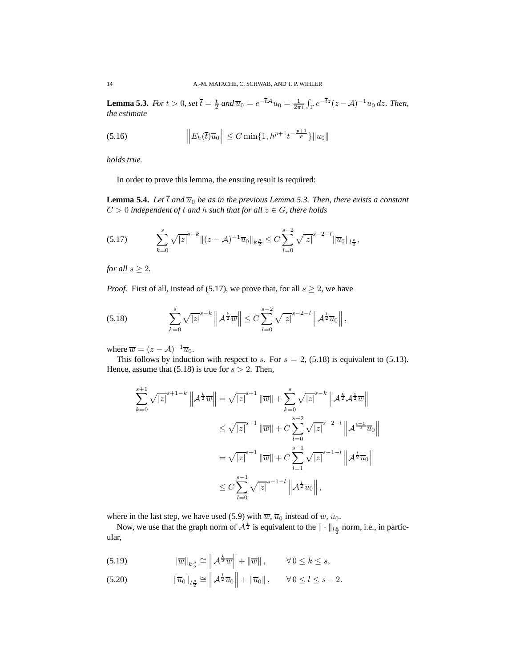**Lemma 5.3.** For  $t > 0$ , set  $\overline{t} = \frac{t}{2}$  and  $\overline{u}_0 = e^{-\overline{t}A}u_0 = \frac{1}{2\pi i}\int_{\Gamma} e^{-\overline{t}z}(z - A)^{-1}u_0 dz$ . Then, *the estimate*

(5.16) 
$$
\left\| E_h(\overline{t}) \overline{u}_0 \right\| \leq C \min\{1, h^{p+1} t^{-\frac{p+1}{\rho}}\} \|u_0\|
$$

*holds true.*

In order to prove this lemma, the ensuing result is required:

**Lemma 5.4.** *Let*  $\overline{t}$  *and*  $\overline{u}_0$  *be as in the previous Lemma 5.3. Then, there exists a constant*  $C > 0$  *independent of t and h such that for all*  $z \in G$ *, there holds* 

$$
(5.17) \qquad \sum_{k=0}^{s} \sqrt{|z|}^{s-k} \|(z-\mathcal{A})^{-1}\overline{u}_0\|_{k\frac{\rho}{2}} \leq C \sum_{l=0}^{s-2} \sqrt{|z|}^{s-2-l} \|\overline{u}_0\|_{l\frac{\rho}{2}},
$$

*for all*  $s \geq 2$ *.* 

*Proof.* First of all, instead of (5.17), we prove that, for all  $s \geq 2$ , we have

(5.18) 
$$
\sum_{k=0}^{s} \sqrt{|z|}^{s-k} \left\| A^{\frac{k}{2}} \overline{w} \right\| \leq C \sum_{l=0}^{s-2} \sqrt{|z|}^{s-2-l} \left\| A^{\frac{l}{2}} \overline{u}_{0} \right\|,
$$

where  $\overline{w} = (z - A)^{-1} \overline{u}_0$ .

This follows by induction with respect to s. For  $s = 2$ , (5.18) is equivalent to (5.13). Hence, assume that  $(5.18)$  is true for  $s > 2$ . Then,

$$
\sum_{k=0}^{s+1} \sqrt{|z|}^{s+1-k} \|A^{\frac{k}{2}}\overline{w}\| = \sqrt{|z|}^{s+1} \|\overline{w}\| + \sum_{k=0}^{s} \sqrt{|z|}^{s-k} \|A^{\frac{k}{2}}A^{\frac{1}{2}}\overline{w}\|
$$
  

$$
\leq \sqrt{|z|}^{s+1} \|\overline{w}\| + C \sum_{l=0}^{s-2} \sqrt{|z|}^{s-2-l} \|A^{\frac{l+1}{2}}\overline{u}_0\|
$$
  

$$
= \sqrt{|z|}^{s+1} \|\overline{w}\| + C \sum_{l=1}^{s-1} \sqrt{|z|}^{s-1-l} \|A^{\frac{l}{2}}\overline{u}_0\|
$$
  

$$
\leq C \sum_{l=0}^{s-1} \sqrt{|z|}^{s-1-l} \|A^{\frac{l}{2}}\overline{u}_0\|,
$$

where in the last step, we have used (5.9) with  $\overline{w}$ ,  $\overline{u}_0$  instead of w,  $u_0$ .

Now, we use that the graph norm of  $A^{\frac{l}{2}}$  is equivalent to the  $\|\cdot\|_{l\frac{\rho}{2}}$  norm, i.e., in particular,

(5.19) 
$$
\|\overline{w}\|_{k\frac{\rho}{2}} \cong \left\|\mathcal{A}^{\frac{k}{2}}\overline{w}\right\| + \|\overline{w}\|, \qquad \forall 0 \leq k \leq s,
$$

(5.20) 
$$
\|\overline{u}_0\|_{l^{\rho}_2} \cong \left\|A^{\frac{l}{2}}\overline{u}_0\right\| + \|\overline{u}_0\|, \quad \forall 0 \le l \le s-2.
$$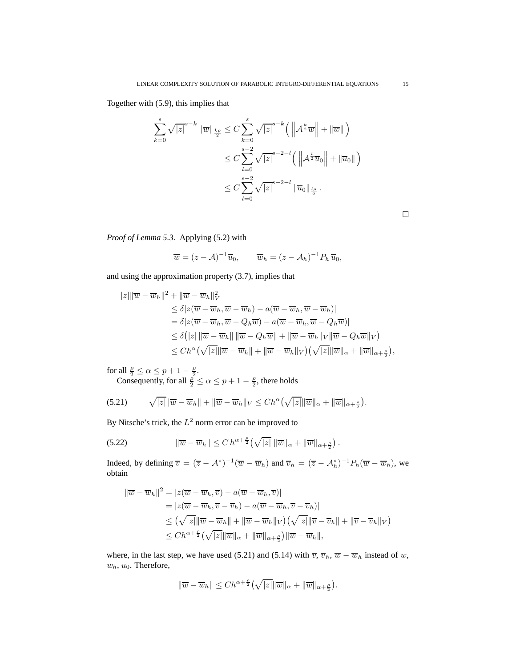Together with (5.9), this implies that

$$
\sum_{k=0}^{s} \sqrt{|z|}^{s-k} \|\overline{w}\|_{\frac{k\rho}{2}} \leq C \sum_{k=0}^{s} \sqrt{|z|}^{s-k} \left( \left\| A^{\frac{k}{2}} \overline{w} \right\| + \|\overline{w}\| \right)
$$
  

$$
\leq C \sum_{l=0}^{s-2} \sqrt{|z|}^{s-2-l} \left( \left\| A^{\frac{l}{2}} \overline{u}_0 \right\| + \|\overline{u}_0\| \right)
$$
  

$$
\leq C \sum_{l=0}^{s-2} \sqrt{|z|}^{s-2-l} \|\overline{u}_0\|_{\frac{l\rho}{2}}.
$$

 $\hfill \square$ 

*Proof of Lemma 5.3.* Applying (5.2) with

$$
\overline{w} = (z - A)^{-1} \overline{u}_0, \qquad \overline{w}_h = (z - A_h)^{-1} P_h \overline{u}_0,
$$

and using the approximation property (3.7), implies that

$$
|z| \|\overline{w} - \overline{w}_h\|^2 + \|\overline{w} - \overline{w}_h\|_V^2
$$
  
\n
$$
\leq \delta |z(\overline{w} - \overline{w}_h, \overline{w} - \overline{w}_h) - a(\overline{w} - \overline{w}_h, \overline{w} - \overline{w}_h)|
$$
  
\n
$$
= \delta |z(\overline{w} - \overline{w}_h, \overline{w} - Q_h \overline{w}) - a(\overline{w} - \overline{w}_h, \overline{w} - Q_h \overline{w})|
$$
  
\n
$$
\leq \delta (|z| \|\overline{w} - \overline{w}_h\| \| \overline{w} - Q_h \overline{w}\| + \| \overline{w} - \overline{w}_h \|_V \| \overline{w} - Q_h \overline{w} \|_V)
$$
  
\n
$$
\leq Ch^{\alpha} (\sqrt{|z|} \|\overline{w} - \overline{w}_h \| + \|\overline{w} - \overline{w}_h \|_V) (\sqrt{|z|} \|\overline{w}\|_{\alpha} + \|\overline{w}\|_{\alpha + \frac{\rho}{2}}),
$$

for all  $\frac{\rho}{2} \le \alpha \le p+1-\frac{\rho}{2}$ . Consequently, for all  $\frac{\rho^2}{2} \le \alpha \le p + 1 - \frac{\rho}{2}$ , there holds

$$
(5.21) \qquad \sqrt{z} \|\overline{w} - \overline{w}_h\| + \|\overline{w} - \overline{w}_h\|_V \leq Ch^{\alpha} \big(\sqrt{|z|} \|\overline{w}\|_{\alpha} + \|\overline{w}\|_{\alpha + \frac{\rho}{2}}\big).
$$

By Nitsche's trick, the  $L^2$  norm error can be improved to

(5.22) 
$$
\|\overline{w}-\overline{w}_h\| \leq C h^{\alpha+\frac{\rho}{2}}(\sqrt{|z|}\,\|\overline{w}\|_{\alpha}+\|\overline{w}\|_{\alpha+\frac{\rho}{2}})
$$

Indeed, by defining  $\overline{v} = (\overline{z} - A^*)^{-1}(\overline{w} - \overline{w}_h)$  and  $\overline{v}_h = (\overline{z} - A^*_h)^{-1}P_h(\overline{w} - \overline{w}_h)$ , we obtain

.

$$
\|\overline{w} - \overline{w}_h\|^2 = |z(\overline{w} - \overline{w}_h, \overline{v}) - a(\overline{w} - \overline{w}_h, \overline{v})|
$$
  
\n
$$
= |z(\overline{w} - \overline{w}_h, \overline{v} - \overline{v}_h) - a(\overline{w} - \overline{w}_h, \overline{v} - \overline{v}_h)|
$$
  
\n
$$
\leq (\sqrt{|z|} \|\overline{w} - \overline{w}_h\| + \|\overline{w} - \overline{w}_h\|_V)(\sqrt{|z|} \|\overline{v} - \overline{v}_h\| + \|\overline{v} - \overline{v}_h\|_V)
$$
  
\n
$$
\leq Ch^{\alpha + \frac{\rho}{2}} (\sqrt{|z|} \|\overline{w}\|_{\alpha} + \|\overline{w}\|_{\alpha + \frac{\rho}{2}}) \|\overline{w} - \overline{w}_h\|,
$$

where, in the last step, we have used (5.21) and (5.14) with  $\overline{v}$ ,  $\overline{v}_h$ ,  $\overline{w} - \overline{w}_h$  instead of w,  $w<sub>h</sub>, u<sub>0</sub>$ . Therefore,

$$
\|\overline{w}-\overline{w}_h\|\leq Ch^{\alpha+\frac{\rho}{2}}\left(\sqrt{|z|}\|\overline{w}\|_{\alpha}+\|\overline{w}\|_{\alpha+\frac{\rho}{2}}\right).
$$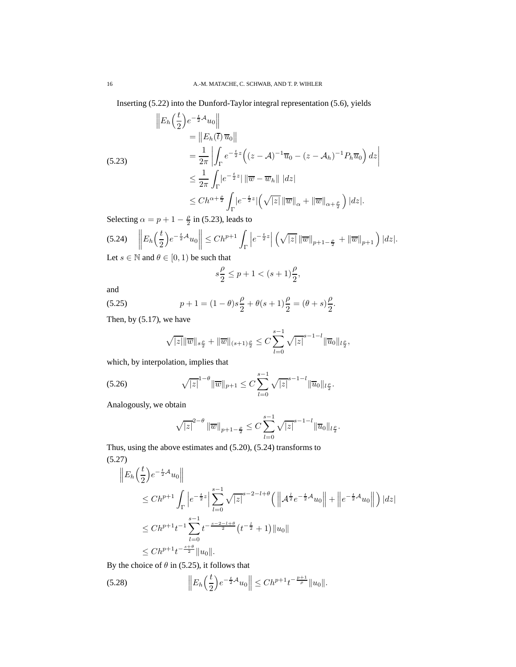Inserting (5.22) into the Dunford-Taylor integral representation (5.6), yields

$$
\|E_h\left(\frac{t}{2}\right)e^{-\frac{t}{2}\mathcal{A}}u_0\|
$$
  
\n
$$
= \|E_h(\overline{t})\,\overline{u}_0\|
$$
  
\n
$$
= \frac{1}{2\pi}\left|\int_{\Gamma} e^{-\frac{t}{2}z}\left((z-\mathcal{A})^{-1}\overline{u}_0 - (z-\mathcal{A}_h)^{-1}P_h\overline{u}_0\right)dz\right|
$$
  
\n
$$
\leq \frac{1}{2\pi}\int_{\Gamma} |e^{-\frac{t}{2}z}|\|\overline{w}-\overline{w}_h\| |dz|
$$
  
\n
$$
\leq Ch^{\alpha+\frac{\rho}{2}}\int_{\Gamma} |e^{-\frac{t}{2}z}| \left(\sqrt{|z|}\|\overline{w}\|_{\alpha} + \|\overline{w}\|_{\alpha+\frac{\rho}{2}}\right) |dz|.
$$

Selecting  $\alpha = p + 1 - \frac{\rho}{2}$  in (5.23), leads to

$$
\text{(5.24)} \quad \left\| E_h \left( \frac{t}{2} \right) e^{-\frac{t}{2} \mathcal{A}} u_0 \right\| \le C h^{p+1} \int_{\Gamma} \left| e^{-\frac{t}{2} z} \right| \left( \sqrt{|z|} \left\| \overline{w} \right\|_{p+1-\frac{\rho}{2}} + \left\| \overline{w} \right\|_{p+1} \right) |dz|.
$$
\nLet  $\varepsilon \in \mathbb{N}$  and  $\theta \in [0, 1)$  be such that

Let  $s \in \mathbb{N}$  and  $\theta \in [0, 1)$  be such that

$$
s\frac{\rho}{2}\leq p+1<(s+1)\frac{\rho}{2},
$$

and

(5.25) 
$$
p + 1 = (1 - \theta)s\frac{\rho}{2} + \theta(s+1)\frac{\rho}{2} = (\theta + s)\frac{\rho}{2}.
$$

Then, by (5.17), we have

$$
\sqrt{|z|} \|\overline{w}\|_{s\frac{\rho}{2}} + \|\overline{w}\|_{(s+1)\frac{\rho}{2}} \leq C \sum_{l=0}^{s-1} \sqrt{|z|}^{s-1-l} \|\overline{u}_0\|_{l\frac{\rho}{2}},
$$

which, by interpolation, implies that

(5.26) 
$$
\sqrt{|z|}^{1-\theta} \|\overline{w}\|_{p+1} \leq C \sum_{l=0}^{s-1} \sqrt{|z|}^{s-1-l} \|\overline{u}_0\|_{l\frac{p}{2}}.
$$

Analogously, we obtain

$$
\sqrt{|z|}^{2-\theta} \, \|\overline{w}\|_{p+1-\frac{\rho}{2}} \leq C \sum_{l=0}^{s-1} \sqrt{|z|}^{s-1-l} \|\overline{u}_0\|_{l\frac{\rho}{2}}.
$$

Thus, using the above estimates and (5.20), (5.24) transforms to (5.27)

$$
\|E_h\left(\frac{t}{2}\right)e^{-\frac{t}{2}\mathcal{A}}u_0\|
$$
  
\n
$$
\leq Ch^{p+1}\int_{\Gamma}\left|e^{-\frac{t}{2}z}\right|\sum_{l=0}^{s-1}\sqrt{|z|}^{s-2-l+\theta}\left(\left\|\mathcal{A}^{\frac{l}{2}}e^{-\frac{t}{2}\mathcal{A}}u_0\right\|+\left\|e^{-\frac{t}{2}\mathcal{A}}u_0\right\|\right)|dz|
$$
  
\n
$$
\leq Ch^{p+1}t^{-1}\sum_{l=0}^{s-1}t^{-\frac{s-2-l+\theta}{2}}(t^{-\frac{l}{2}}+1)\|u_0\|
$$
  
\n
$$
\leq Ch^{p+1}t^{-\frac{s+\theta}{2}}\|u_0\|.
$$

By the choice of  $\theta$  in (5.25), it follows that

(5.28) 
$$
\left\| E_h \left( \frac{t}{2} \right) e^{-\frac{t}{2} A} u_0 \right\| \leq C h^{p+1} t^{-\frac{p+1}{\rho}} \| u_0 \|.
$$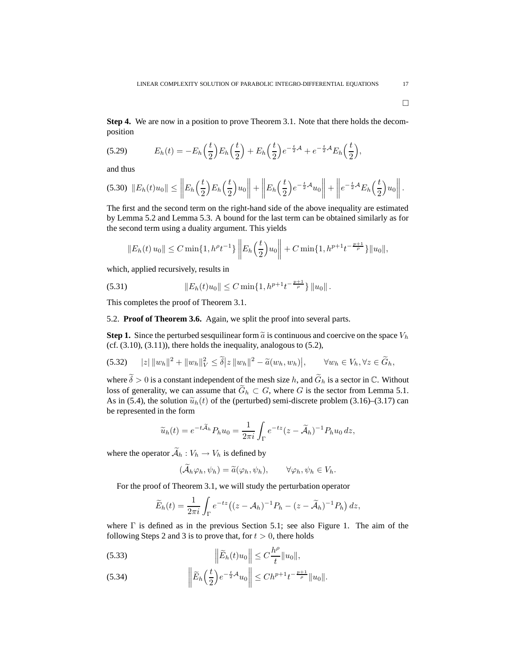**Step 4.** We are now in a position to prove Theorem 3.1. Note that there holds the decomposition

(5.29) 
$$
E_h(t) = -E_h\left(\frac{t}{2}\right)E_h\left(\frac{t}{2}\right) + E_h\left(\frac{t}{2}\right)e^{-\frac{t}{2}\mathcal{A}} + e^{-\frac{t}{2}\mathcal{A}}E_h\left(\frac{t}{2}\right),
$$

and thus

$$
(5.30) \quad ||E_h(t)u_0|| \leq \left||E_h\left(\frac{t}{2}\right)E_h\left(\frac{t}{2}\right)u_0\right|| + \left||E_h\left(\frac{t}{2}\right)e^{-\frac{t}{2}\mathcal{A}}u_0\right|| + \left||e^{-\frac{t}{2}\mathcal{A}}E_h\left(\frac{t}{2}\right)u_0\right||.
$$

The first and the second term on the right-hand side of the above inequality are estimated by Lemma 5.2 and Lemma 5.3. A bound for the last term can be obtained similarly as for the second term using a duality argument. This yields

$$
||E_h(t) u_0|| \leq C \min\{1, h^{\rho}t^{-1}\} \left\| E_h\left(\frac{t}{2}\right) u_0\right\| + C \min\{1, h^{p+1}t^{-\frac{p+1}{\rho}}\} ||u_0||,
$$

which, applied recursively, results in

(5.31) 
$$
||E_h(t)u_0|| \leq C \min\{1, h^{p+1}t^{-\frac{p+1}{\rho}}\} ||u_0||.
$$

This completes the proof of Theorem 3.1.

5.2. **Proof of Theorem 3.6.** Again, we split the proof into several parts.

**Step 1.** Since the perturbed sesquilinear form  $\tilde{a}$  is continuous and coercive on the space  $V_h$  $(cf. (3.10), (3.11))$ , there holds the inequality, analogous to  $(5.2)$ ,

$$
(5.32) \qquad |z| \, ||w_h||^2 + ||w_h||_V^2 \le \tilde{\delta}|z| \, ||w_h||^2 - \tilde{a}(w_h, w_h)|, \qquad \forall w_h \in V_h, \forall z \in \tilde{G}_h,
$$

where  $\tilde{\delta} > 0$  is a constant independent of the mesh size h, and  $\tilde{G}_h$  is a sector in  $\mathbb{C}$ . Without loss of generality, we can assume that  $\widetilde{G}_h \subset G$ , where G is the sector from Lemma 5.1. As in (5.4), the solution  $\tilde{u}_h(t)$  of the (perturbed) semi-discrete problem (3.16)–(3.17) can be represented in the form

$$
\widetilde{u}_h(t) = e^{-t\widetilde{A}_h} P_h u_0 = \frac{1}{2\pi i} \int_{\Gamma} e^{-tz} (z - \widetilde{A}_h)^{-1} P_h u_0 dz,
$$

where the operator  $\widetilde{\mathcal{A}}_h : V_h \to V_h$  is defined by

$$
(\mathcal{A}_h\varphi_h,\psi_h)=\widetilde{a}(\varphi_h,\psi_h),\qquad\forall\varphi_h,\psi_h\in V_h.
$$

For the proof of Theorem 3.1, we will study the perturbation operator

$$
\widetilde{E}_h(t) = \frac{1}{2\pi i} \int_{\Gamma} e^{-tz} \left( (z - A_h)^{-1} P_h - (z - \widetilde{A}_h)^{-1} P_h \right) dz,
$$

where  $\Gamma$  is defined as in the previous Section 5.1; see also Figure 1. The aim of the following Steps 2 and 3 is to prove that, for  $t > 0$ , there holds

(5.33) 
$$
\left\| \widetilde{E}_h(t) u_0 \right\| \leq C \frac{h^{\rho}}{t} \| u_0 \|,
$$

(5.34) 
$$
\left\| \widetilde{E}_h \left( \frac{t}{2} \right) e^{-\frac{t}{2} A} u_0 \right\| \leq C h^{p+1} t^{-\frac{p+1}{p}} \| u_0 \|.
$$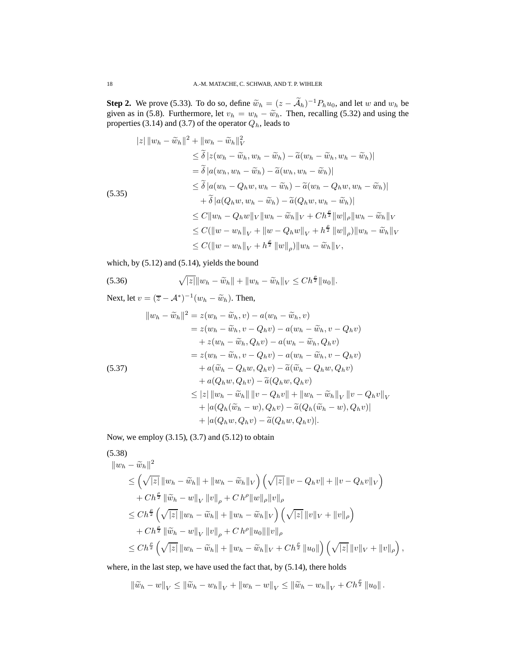**Step 2.** We prove (5.33). To do so, define  $\widetilde{w}_h = (z - \mathcal{A}_h)^{-1} P_h u_0$ , and let w and  $w_h$  be given as in (5.8). Furthermore, let  $v_h = w_h - \tilde{w}_h$ . Then, recalling (5.32) and using the properties (3.14) and (3.7) of the operator  $Q_h$ , leads to

$$
|z| \|w_h - \widetilde{w}_h\|^2 + \|w_h - \widetilde{w}_h\|_V^2
$$
  
\n
$$
\leq \widetilde{\delta} |z(w_h - \widetilde{w}_h, w_h - \widetilde{w}_h) - \widetilde{a}(w_h - \widetilde{w}_h, w_h - \widetilde{w}_h)|
$$
  
\n
$$
= \widetilde{\delta} |a(w_h, w_h - \widetilde{w}_h) - \widetilde{a}(w_h, w_h - \widetilde{w}_h)|
$$
  
\n
$$
\leq \widetilde{\delta} |a(w_h - Q_h w, w_h - \widetilde{w}_h) - \widetilde{a}(w_h - Q_h w, w_h - \widetilde{w}_h)|
$$
  
\n(5.35)  
\n
$$
+ \widetilde{\delta} |a(Q_h w, w_h - \widetilde{w}_h) - \widetilde{a}(Q_h w, w_h - \widetilde{w}_h)|
$$
  
\n
$$
\leq C \|w_h - Q_h w\|_V \|w_h - \widetilde{w}_h\|_V + C h^{\frac{\rho}{2}} \|w\|_{\rho} \|w_h - \widetilde{w}_h\|_V
$$
  
\n
$$
\leq C (\|w - w_h\|_V + \|w - Q_h w\|_V + h^{\frac{\rho}{2}} \|w\|_{\rho}) \|w_h - \widetilde{w}_h\|_V
$$
  
\n
$$
\leq C (\|w - w_h\|_V + h^{\frac{\rho}{2}} \|w\|_{\rho}) \|w_h - \widetilde{w}_h\|_V,
$$

which, by (5.12) and (5.14), yields the bound

(5.36) 
$$
\sqrt{|z|} \|w_h - \widetilde{w}_h\| + \|w_h - \widetilde{w}_h\|_V \leq Ch^{\frac{\rho}{2}} \|u_0\|.
$$

Next, let  $v = (\overline{z} - A^*)^{-1}(w_h - \widetilde{w}_h)$ . Then,

$$
||w_h - \widetilde{w}_h||^2 = z(w_h - \widetilde{w}_h, v) - a(w_h - \widetilde{w}_h, v)
$$
  
\n
$$
= z(w_h - \widetilde{w}_h, v - Q_h v) - a(w_h - \widetilde{w}_h, v - Q_h v)
$$
  
\n
$$
+ z(w_h - \widetilde{w}_h, Q_h v) - a(w_h - \widetilde{w}_h, Q_h v)
$$
  
\n
$$
= z(w_h - \widetilde{w}_h, v - Q_h v) - a(w_h - \widetilde{w}_h, v - Q_h v)
$$
  
\n(5.37)  
\n
$$
+ a(\widetilde{w}_h - Q_h w, Q_h v) - \widetilde{a}(\widetilde{w}_h - Q_h w, Q_h v)
$$
  
\n
$$
+ a(Q_h w, Q_h v) - \widetilde{a}(Q_h w, Q_h v)
$$
  
\n
$$
\leq |z| ||w_h - \widetilde{w}_h|| ||v - Q_h v|| + ||w_h - \widetilde{w}_h||_V ||v - Q_h v||_V
$$
  
\n
$$
+ |a(Q_h(\widetilde{w}_h - w), Q_h v) - \widetilde{a}(Q_h(\widetilde{w}_h - w), Q_h v)|
$$
  
\n
$$
+ |a(Q_h w, Q_h v) - \widetilde{a}(Q_h w, Q_h v)|.
$$

Now, we employ (3.15), (3.7) and (5.12) to obtain

$$
(5.38)
$$
  
\n
$$
||w_h - \widetilde{w}_h||^2
$$
\n
$$
\leq \left(\sqrt{|z|} ||w_h - \widetilde{w}_h|| + ||w_h - \widetilde{w}_h||_V\right) \left(\sqrt{|z|} ||v - Q_h v|| + ||v - Q_h v||_V\right)
$$
\n
$$
+ Ch^{\frac{\rho}{2}} ||\widetilde{w}_h - w||_V ||v||_{\rho} + Ch^{\rho} ||w||_{\rho} ||v||_{\rho}
$$
\n
$$
\leq Ch^{\frac{\rho}{2}} \left(\sqrt{|z|} ||w_h - \widetilde{w}_h|| + ||w_h - \widetilde{w}_h||_V\right) \left(\sqrt{|z|} ||v||_V + ||v||_{\rho}\right)
$$
\n
$$
+ Ch^{\frac{\rho}{2}} ||\widetilde{w}_h - w||_V ||v||_{\rho} + Ch^{\rho} ||u_0|| ||v||_{\rho}
$$
\n
$$
\leq Ch^{\frac{\rho}{2}} \left(\sqrt{|z|} ||w_h - \widetilde{w}_h|| + ||w_h - \widetilde{w}_h||_V + Ch^{\frac{\rho}{2}} ||u_0||\right) \left(\sqrt{|z|} ||v||_V + ||v||_{\rho}\right),
$$

where, in the last step, we have used the fact that, by (5.14), there holds

$$
\left\|\widetilde{w}_{h} - w\right\|_{V} \le \left\|\widetilde{w}_{h} - w_{h}\right\|_{V} + \left\|w_{h} - w\right\|_{V} \le \left\|\widetilde{w}_{h} - w_{h}\right\|_{V} + Ch^{\frac{\rho}{2}}\left\|u_{0}\right\|.
$$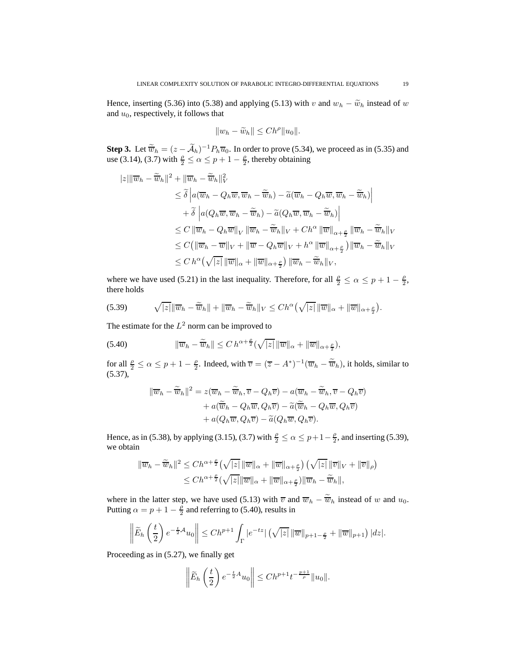Hence, inserting (5.36) into (5.38) and applying (5.13) with v and  $w_h - \tilde{w}_h$  instead of w and  $u_0$ , respectively, it follows that

$$
||w_h - \widetilde{w}_h|| \leq Ch^{\rho} ||u_0||.
$$

**Step 3.** Let  $\widetilde{\overline{w}}_h = (z - \widetilde{\mathcal{A}}_h)^{-1} P_h \overline{u}_0$ . In order to prove (5.34), we proceed as in (5.35) and use (3.14), (3.7) with  $\frac{p}{2} \le \alpha \le p + 1 - \frac{p}{2}$ , thereby obtaining

$$
|z| \|\overline{w}_h - \widetilde{\overline{w}}_h\|^2 + \|\overline{w}_h - \widetilde{\overline{w}}_h\|^2_V
$$
  
\n
$$
\leq \widetilde{\delta} \left| a(\overline{w}_h - Q_h \overline{w}, \overline{w}_h - \widetilde{\overline{w}}_h) - \widetilde{a}(\overline{w}_h - Q_h \overline{w}, \overline{w}_h - \widetilde{\overline{w}}_h) \right|
$$
  
\n
$$
+ \widetilde{\delta} \left| a(Q_h \overline{w}, \overline{w}_h - \widetilde{\overline{w}}_h) - \widetilde{a}(Q_h \overline{w}, \overline{w}_h - \widetilde{\overline{w}}_h) \right|
$$
  
\n
$$
\leq C \|\overline{w}_h - Q_h \overline{w}\|_V \|\overline{w}_h - \widetilde{\overline{w}}_h\|_V + Ch^{\alpha} \|\overline{w}\|_{\alpha + \frac{\rho}{2}} \|\overline{w}_h - \widetilde{\overline{w}}_h\|_V
$$
  
\n
$$
\leq C (\|\overline{w}_h - \overline{w}\|_V + \|\overline{w} - Q_h \overline{w}\|_V + h^{\alpha} \|\overline{w}\|_{\alpha + \frac{\rho}{2}}) \|\overline{w}_h - \widetilde{\overline{w}}_h\|_V
$$
  
\n
$$
\leq Ch^{\alpha} (\sqrt{|z|} \|\overline{w}\|_{\alpha} + \|\overline{w}\|_{\alpha + \frac{\rho}{2}}) \|\overline{w}_h - \widetilde{\overline{w}}_h\|_V,
$$

where we have used (5.21) in the last inequality. Therefore, for all  $\frac{\rho}{2} \le \alpha \le p + 1 - \frac{\rho}{2}$ , there holds

(5.39) 
$$
\sqrt{|z|} \|\overline{w}_h - \widetilde{\overline{w}}_h\| + \|\overline{w}_h - \widetilde{\overline{w}}_h\|_V \leq Ch^{\alpha}(\sqrt{|z|} \|\overline{w}\|_{\alpha} + \|\overline{w}\|_{\alpha + \frac{\rho}{2}}).
$$

The estimate for the  $L^2$  norm can be improved to

(5.40) 
$$
\|\overline{w}_h - \widetilde{\overline{w}}_h\| \leq C h^{\alpha + \frac{\rho}{2}} (\sqrt{|z|} \|\overline{w}\|_{\alpha} + \|\overline{w}\|_{\alpha + \frac{\rho}{2}}),
$$

for all  $\frac{\rho}{2} \le \alpha \le p + 1 - \frac{\rho}{2}$ . Indeed, with  $\overline{v} = (\overline{z} - A^*)^{-1}(\overline{w}_h - \overline{\widetilde{w}}_h)$ , it holds, similar to  $(5.37)$ ,

$$
\|\overline{w}_h - \widetilde{\overline{w}}_h\|^2 = z(\overline{w}_h - \widetilde{\overline{w}}_h, \overline{v} - Q_h \overline{v}) - a(\overline{w}_h - \widetilde{\overline{w}}_h, \overline{v} - Q_h \overline{v}) + a(\widetilde{\overline{w}}_h - Q_h \overline{w}, Q_h \overline{v}) - \widetilde{a}(\widetilde{\overline{w}}_h - Q_h \overline{w}, Q_h \overline{v}) + a(Q_h \overline{w}, Q_h \overline{v}) - \widetilde{a}(Q_h \overline{w}, Q_h \overline{v}).
$$

Hence, as in (5.38), by applying (3.15), (3.7) with  $\frac{\rho}{2} \le \alpha \le p+1-\frac{\rho}{2}$ , and inserting (5.39), we obtain

$$
\|\overline{w}_h - \widetilde{\overline{w}}_h\|^2 \le Ch^{\alpha + \frac{\rho}{2}} \left(\sqrt{|z|} \|\overline{w}\|_{\alpha} + \|\overline{w}\|_{\alpha + \frac{\rho}{2}}\right) \left(\sqrt{|z|} \|\overline{v}\|_{V} + \|\overline{v}\|_{\rho}\right)
$$
  

$$
\le Ch^{\alpha + \frac{\rho}{2}} \left(\sqrt{|z|} \|\overline{w}\|_{\alpha} + \|\overline{w}\|_{\alpha + \frac{\rho}{2}}\right) \|\overline{w}_h - \widetilde{\overline{w}}_h\|,
$$

where in the latter step, we have used (5.13) with  $\overline{v}$  and  $\overline{w}_h - \widetilde{\overline{w}}_h$  instead of w and  $u_0$ . Putting  $\alpha = p + 1 - \frac{\rho}{2}$  and referring to (5.40), results in

$$
\left\|\widetilde{E}_h\left(\frac{t}{2}\right)e^{-\frac{t}{2}\mathcal{A}}u_0\right\| \le Ch^{p+1}\int_{\Gamma}|e^{-tz}|\left(\sqrt{|z|}\left\|\overline{w}\right\|_{p+1-\frac{\rho}{2}}+\left\|\overline{w}\right\|_{p+1}\right)|dz|.
$$

Proceeding as in (5.27), we finally get

$$
\left\|\widetilde{E}_h\left(\frac{t}{2}\right)e^{-\frac{t}{2}A}u_0\right\|\leq Ch^{p+1}t^{-\frac{p+1}{\rho}}\|u_0\|.
$$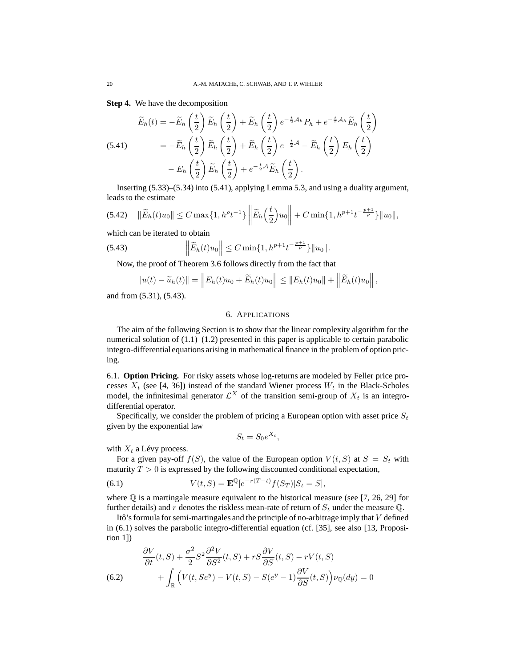**Step 4.** We have the decomposition

(5.41) 
$$
\widetilde{E}_h(t) = -\widetilde{E}_h\left(\frac{t}{2}\right)\widetilde{E}_h\left(\frac{t}{2}\right) + \widetilde{E}_h\left(\frac{t}{2}\right)e^{-\frac{t}{2}\mathcal{A}_h}P_h + e^{-\frac{t}{2}\mathcal{A}_h}\widetilde{E}_h\left(\frac{t}{2}\right)
$$

$$
= -\widetilde{E}_h\left(\frac{t}{2}\right)\widetilde{E}_h\left(\frac{t}{2}\right) + \widetilde{E}_h\left(\frac{t}{2}\right)e^{-\frac{t}{2}\mathcal{A}} - \widetilde{E}_h\left(\frac{t}{2}\right)E_h\left(\frac{t}{2}\right)
$$

$$
-E_h\left(\frac{t}{2}\right)\widetilde{E}_h\left(\frac{t}{2}\right) + e^{-\frac{t}{2}\mathcal{A}}\widetilde{E}_h\left(\frac{t}{2}\right).
$$

Inserting (5.33)–(5.34) into (5.41), applying Lemma 5.3, and using a duality argument, leads to the estimate

$$
(5.42) \quad \|\widetilde{E}_h(t)u_0\| \le C \max\{1, h^{\rho}t^{-1}\} \left\|\widetilde{E}_h\left(\frac{t}{2}\right)u_0\right\| + C \min\{1, h^{p+1}t^{-\frac{p+1}{\rho}}\}\|u_0\|,
$$

which can be iterated to obtain

(5.43) 
$$
\left\|\widetilde{E}_h(t)u_0\right\| \leq C \min\{1, h^{p+1}t^{-\frac{p+1}{\rho}}\}\|u_0\|.
$$

Now, the proof of Theorem 3.6 follows directly from the fact that

$$
||u(t) - \widetilde{u}_h(t)|| = \left\| E_h(t)u_0 + \widetilde{E}_h(t)u_0 \right\| \leq ||E_h(t)u_0|| + \left\| \widetilde{E}_h(t)u_0 \right\|,
$$

and from (5.31), (5.43).

## 6. APPLICATIONS

The aim of the following Section is to show that the linear complexity algorithm for the numerical solution of  $(1.1)$ – $(1.2)$  presented in this paper is applicable to certain parabolic integro-differential equations arising in mathematical finance in the problem of option pricing.

6.1. **Option Pricing.** For risky assets whose log-returns are modeled by Feller price processes  $X_t$  (see [4, 36]) instead of the standard Wiener process  $W_t$  in the Black-Scholes model, the infinitesimal generator  $\mathcal{L}^X$  of the transition semi-group of  $X_t$  is an integrodifferential operator.

Specifically, we consider the problem of pricing a European option with asset price  $S_t$ given by the exponential law

$$
S_t = S_0 e^{X_t},
$$

with  $X_t$  a Lévy process.

For a given pay-off  $f(S)$ , the value of the European option  $V(t, S)$  at  $S = S_t$  with maturity  $T > 0$  is expressed by the following discounted conditional expectation,

(6.1) 
$$
V(t,S) = \mathbf{E}^{\mathbb{Q}}[e^{-r(T-t)}f(S_T)|S_t = S],
$$

where  $\mathbb Q$  is a martingale measure equivalent to the historical measure (see [7, 26, 29] for further details) and r denotes the riskless mean-rate of return of  $S_t$  under the measure  $\mathbb Q$ .

Itô's formula for semi-martingales and the principle of no-arbitrage imply that  $V$  defined in (6.1) solves the parabolic integro-differential equation (cf. [35], see also [13, Proposition 1])

(6.2) 
$$
\frac{\partial V}{\partial t}(t, S) + \frac{\sigma^2}{2} S^2 \frac{\partial^2 V}{\partial S^2}(t, S) + rS \frac{\partial V}{\partial S}(t, S) - rV(t, S) \n+ \int_{\mathbb{R}} \left( V(t, S e^y) - V(t, S) - S(e^y - 1) \frac{\partial V}{\partial S}(t, S) \right) \nu_{\mathbb{Q}}(dy) = 0
$$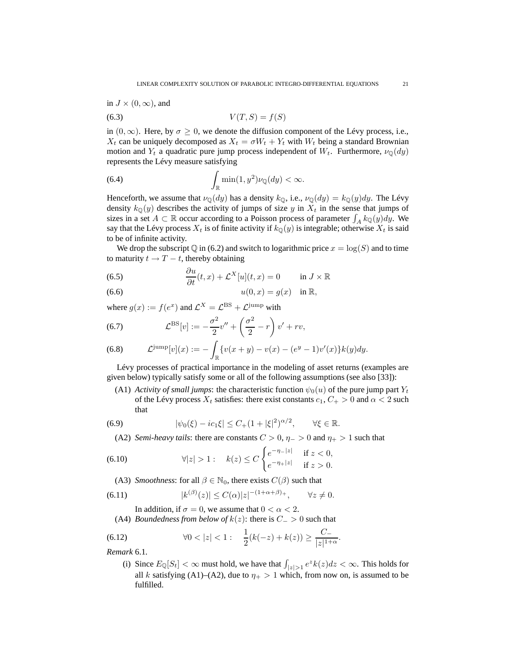in 
$$
J \times (0, \infty)
$$
, and

$$
(6.3) \t\t V(T, S) = f(S)
$$

in  $(0, \infty)$ . Here, by  $\sigma \geq 0$ , we denote the diffusion component of the Lévy process, i.e.,  $X_t$  can be uniquely decomposed as  $X_t = \sigma W_t + Y_t$  with  $W_t$  being a standard Brownian motion and  $Y_t$  a quadratic pure jump process independent of  $W_t$ . Furthermore,  $\nu_{\mathbb{Q}}(dy)$ represents the Lévy measure satisfying

(6.4) 
$$
\int_{\mathbb{R}} \min(1, y^2) \nu_{\mathbb{Q}}(dy) < \infty.
$$

Henceforth, we assume that  $\nu_{\mathbb{Q}}(dy)$  has a density  $k_{\mathbb{Q}}$ , i.e.,  $\nu_{\mathbb{Q}}(dy) = k_{\mathbb{Q}}(y)dy$ . The Lévy density  $k_{\mathbb{Q}}(y)$  describes the activity of jumps of size y in  $X_t$  in the sense that jumps of sizes in a set  $A \subset \mathbb{R}$  occur according to a Poisson process of parameter  $\int_A k_{\mathbb{Q}}(y)dy$ . We say that the Lévy process  $X_t$  is of finite activity if  $k_{\mathbb{Q}}(y)$  is integrable; otherwise  $X_t$  is said to be of infinite activity.

We drop the subscript Q in (6.2) and switch to logarithmic price  $x = \log(S)$  and to time to maturity  $t \to T - t$ , thereby obtaining

(6.5) 
$$
\frac{\partial u}{\partial t}(t,x) + \mathcal{L}^{X}[u](t,x) = 0 \quad \text{in } J \times \mathbb{R}
$$

$$
(6.6) \t\t u(0,x) = g(x) \t\t in \mathbb{R},
$$

where  $g(x) := f(e^x)$  and  $\mathcal{L}^X = \mathcal{L}^{\text{BS}} + \mathcal{L}^{\text{jump}}$  with

(6.7) 
$$
\mathcal{L}^{\mathrm{BS}}[v] := -\frac{\sigma^2}{2}v'' + \left(\frac{\sigma^2}{2} - r\right)v' + rv,
$$

(6.8) 
$$
\mathcal{L}^{\text{jump}}[v](x) := -\int_{\mathbb{R}} \{v(x+y) - v(x) - (e^y - 1)v'(x)\} k(y) dy.
$$

Lévy processes of practical importance in the modeling of asset returns (examples are given below) typically satisfy some or all of the following assumptions (see also [33]):

(A1) *Activity of small jumps*: the characteristic function  $\psi_0(u)$  of the pure jump part  $Y_t$ of the Lévy process  $X_t$  satisfies: there exist constants  $c_1, C_+ > 0$  and  $\alpha < 2$  such that

(6.9) 
$$
|\psi_0(\xi) - ic_1\xi| \le C_+(1+|\xi|^2)^{\alpha/2}, \qquad \forall \xi \in \mathbb{R}.
$$

(A2) *Semi-heavy tails*: there are constants  $C > 0$ ,  $\eta_{-} > 0$  and  $\eta_{+} > 1$  such that

(6.10) 
$$
\forall |z| > 1: \quad k(z) \le C \begin{cases} e^{-\eta - |z|} & \text{if } z < 0, \\ e^{-\eta + |z|} & \text{if } z > 0. \end{cases}
$$

(A3) *Smoothness*: for all  $\beta \in \mathbb{N}_0$ , there exists  $C(\beta)$  such that

$$
(6.11) \t\t\t |k^{(\beta)}(z)| \le C(\alpha)|z|^{-(1+\alpha+\beta)}^\mathrm{+}, \quad \forall z \ne 0.
$$

In addition, if  $\sigma = 0$ , we assume that  $0 < \alpha < 2$ .

(A4) *Boundedness from below of*  $k(z)$ : there is  $C_{-} > 0$  such that

(6.12) 
$$
\forall 0 < |z| < 1: \quad \frac{1}{2}(k(-z) + k(z)) \ge \frac{C_-}{|z|^{1+\alpha}}.
$$

*Remark* 6.1*.*

(i) Since  $E_{\mathbb{Q}}[S_t] < \infty$  must hold, we have that  $\int_{|z|>1} e^{z} k(z) dz < \infty$ . This holds for all k satisfying (A1)–(A2), due to  $\eta_+ > 1$  which, from now on, is assumed to be fulfilled.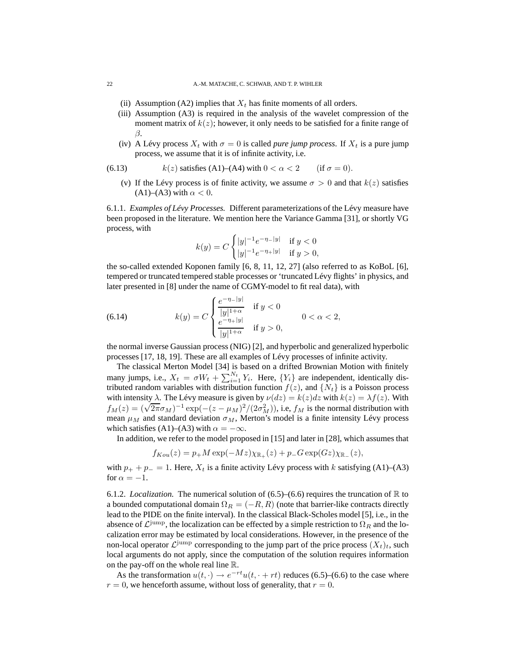- (ii) Assumption (A2) implies that  $X_t$  has finite moments of all orders.
- (iii) Assumption (A3) is required in the analysis of the wavelet compression of the moment matrix of  $k(z)$ ; however, it only needs to be satisfied for a finite range of β.
- (iv) A Lévy process  $X_t$  with  $\sigma = 0$  is called *pure jump process*. If  $X_t$  is a pure jump process, we assume that it is of infinite activity, i.e.

(6.13) 
$$
k(z) \text{ satisfies (A1)–(A4) with } 0 < \alpha < 2 \quad \text{(if } \sigma = 0).
$$

(v) If the Lévy process is of finite activity, we assume  $\sigma > 0$  and that  $k(z)$  satisfies  $(A1)$ – $(A3)$  with  $\alpha < 0$ .

6.1.1. *Examples of Lévy Processes.* Different parameterizations of the Lévy measure have been proposed in the literature. We mention here the Variance Gamma [31], or shortly VG process, with

$$
k(y) = C \begin{cases} |y|^{-1} e^{-\eta_-|y|} & \text{if } y < 0\\ |y|^{-1} e^{-\eta_+|y|} & \text{if } y > 0, \end{cases}
$$

the so-called extended Koponen family [6, 8, 11, 12, 27] (also referred to as KoBoL [6], tempered or truncated tempered stable processes or 'truncated Lévy flights' in physics, and later presented in [8] under the name of CGMY-model to fit real data), with

(6.14) 
$$
k(y) = C \begin{cases} \frac{e^{-\eta - |y|}}{|y|^{1+\alpha}} & \text{if } y < 0 \\ \frac{e^{-\eta + |y|}}{|y|^{1+\alpha}} & \text{if } y > 0, \end{cases}
$$
 0 < \alpha < 2,

the normal inverse Gaussian process (NIG) [2], and hyperbolic and generalized hyperbolic processes [17, 18, 19]. These are all examples of Lévy processes of infinite activity.

The classical Merton Model [34] is based on a drifted Brownian Motion with finitely many jumps, i.e.,  $X_t = \sigma W_t + \sum_{i=1}^{N_t} Y_i$ . Here,  $\{Y_i\}$  are independent, identically distributed random variables with distribution function  $f(z)$ , and  $\{N_t\}$  is a Poisson process with intensity  $\lambda$ . The Lévy measure is given by  $\nu(dz) = k(z)dz$  with  $k(z) = \lambda f(z)$ . With  $f_M(z) = (\sqrt{2\pi}\sigma_M)^{-1} \exp(-(z-\mu_M)^2/(2\sigma_M^2))$ , i.e,  $f_M$  is the normal distribution with mean  $\mu_M$  and standard deviation  $\sigma_M$ , Merton's model is a finite intensity Lévy process which satisfies (A1)–(A3) with  $\alpha = -\infty$ .

In addition, we refer to the model proposed in [15] and later in [28], which assumes that

$$
f_{Kou}(z) = p_{+} M \exp(-Mz) \chi_{\mathbb{R}_{+}}(z) + p_{-} G \exp(Gz) \chi_{\mathbb{R}_{-}}(z),
$$

with  $p_+ + p_- = 1$ . Here,  $X_t$  is a finite activity Lévy process with k satisfying (A1)–(A3) for  $\alpha = -1$ .

6.1.2. *Localization*. The numerical solution of  $(6.5)$ – $(6.6)$  requires the truncation of  $\mathbb{R}$  to a bounded computational domain  $\Omega_R = (-R, R)$  (note that barrier-like contracts directly lead to the PIDE on the finite interval). In the classical Black-Scholes model [5], i.e., in the absence of  $\mathcal{L}^{\text{jump}}$ , the localization can be effected by a simple restriction to  $\Omega_R$  and the localization error may be estimated by local considerations. However, in the presence of the non-local operator  $\mathcal{L}^{\text{jump}}$  corresponding to the jump part of the price process  $(X_t)_t$ , such local arguments do not apply, since the computation of the solution requires information on the pay-off on the whole real line R.

As the transformation  $u(t, \cdot) \to e^{-rt}u(t, \cdot + rt)$  reduces (6.5)–(6.6) to the case where  $r = 0$ , we henceforth assume, without loss of generality, that  $r = 0$ .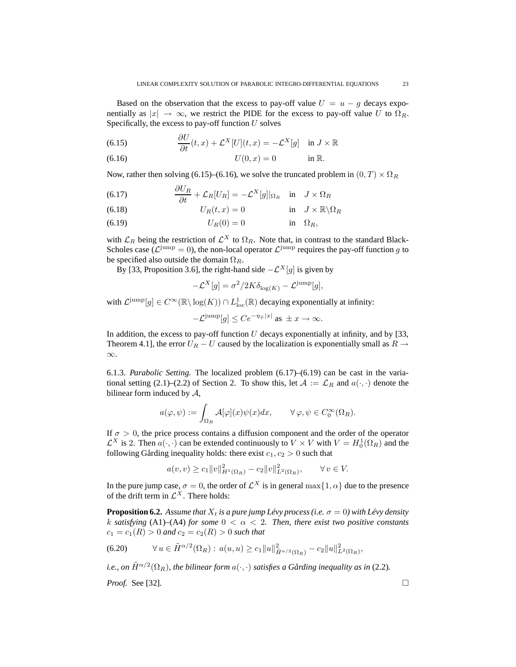Based on the observation that the excess to pay-off value  $U = u - g$  decays exponentially as  $|x| \to \infty$ , we restrict the PIDE for the excess to pay-off value U to  $\Omega_R$ . Specifically, the excess to pay-off function  $U$  solves

(6.15) 
$$
\frac{\partial U}{\partial t}(t,x) + \mathcal{L}^{X}[U](t,x) = -\mathcal{L}^{X}[g] \quad \text{in } J \times \mathbb{R}
$$

(6.16) 
$$
U(0, x) = 0
$$
 in R.

Now, rather then solving (6.15)–(6.16), we solve the truncated problem in  $(0, T) \times \Omega_R$ 

(6.17) 
$$
\frac{\partial U_R}{\partial t} + \mathcal{L}_R[U_R] = -\mathcal{L}^X[g]|_{\Omega_R} \text{ in } J \times \Omega_R
$$

(6.18) 
$$
U_R(t,x) = 0 \qquad \text{in} \quad J \times \mathbb{R} \backslash \Omega_R
$$

(6.19) UR(0) = 0 in ΩR,

with  $\mathcal{L}_R$  being the restriction of  $\mathcal{L}^X$  to  $\Omega_R$ . Note that, in contrast to the standard Black-Scholes case ( $\mathcal{L}^{\text{jump}} = 0$ ), the non-local operator  $\mathcal{L}^{\text{jump}}$  requires the pay-off function g to be specified also outside the domain  $\Omega_R$ .

By [33, Proposition 3.6], the right-hand side  $-\mathcal{L}^{X}[g]$  is given by

$$
-\mathcal{L}^X[g] = \sigma^2/2K\delta_{\log(K)} - \mathcal{L}^{\text{jump}}[g],
$$

with  $\mathcal{L}^{\text{jump}}[g] \in C^{\infty}(\mathbb{R} \setminus \log(K)) \cap L^1_{\text{loc}}(\mathbb{R})$  decaying exponentially at infinity:

 $-\mathcal{L}^{\text{jump}}[g] \leq C e^{-\eta_{\mp}|x|}$  as  $\pm x \to \infty$ .

In addition, the excess to pay-off function  $U$  decays exponentially at infinity, and by [33, Theorem 4.1], the error  $U_R - U$  caused by the localization is exponentially small as  $R \rightarrow$ ∞.

6.1.3. *Parabolic Setting.* The localized problem (6.17)–(6.19) can be cast in the variational setting (2.1)–(2.2) of Section 2. To show this, let  $A := \mathcal{L}_R$  and  $a(\cdot, \cdot)$  denote the bilinear form induced by  $A$ ,

$$
a(\varphi,\psi):=\int_{\Omega_R} \mathcal{A}[\varphi](x)\psi(x)dx,\qquad \forall\, \varphi,\psi\in C_0^\infty(\Omega_R).
$$

If  $\sigma > 0$ , the price process contains a diffusion component and the order of the operator  $\mathcal{L}^X$  is 2. Then  $a(\cdot, \cdot)$  can be extended continuously to  $V \times V$  with  $V = H_0^1(\Omega_R)$  and the following Gårding inequality holds: there exist  $c_1, c_2 > 0$  such that

$$
a(v, v) \ge c_1 ||v||_{H^1(\Omega_R)}^2 - c_2 ||v||_{L^2(\Omega_R)}^2, \qquad \forall v \in V.
$$

In the pure jump case,  $\sigma = 0$ , the order of  $\mathcal{L}^X$  is in general  $\max\{1, \alpha\}$  due to the presence of the drift term in  $\mathcal{L}^X$ . There holds:

**Proposition 6.2.** Assume that  $X_t$  is a pure jump Lévy process (i.e.  $\sigma = 0$ ) with Lévy density k *satisfying* (A1)–(A4) *for some*  $0 < \alpha < 2$ *. Then, there exist two positive constants*  $c_1 = c_1(R) > 0$  *and*  $c_2 = c_2(R) > 0$  *such that* 

$$
(6.20) \t\t \forall u \in \tilde{H}^{\alpha/2}(\Omega_R): \, a(u, u) \ge c_1 \|u\|_{\tilde{H}^{\alpha/2}(\Omega_R)}^2 - c_2 \|u\|_{L^2(\Omega_R)}^2,
$$

*i.e., on*  $\tilde{H}^{\alpha/2}(\Omega_R)$ *, the bilinear form*  $a(\cdot, \cdot)$  *satisfies a Gårding inequality as in* (2.2).

*Proof.* See [32]. □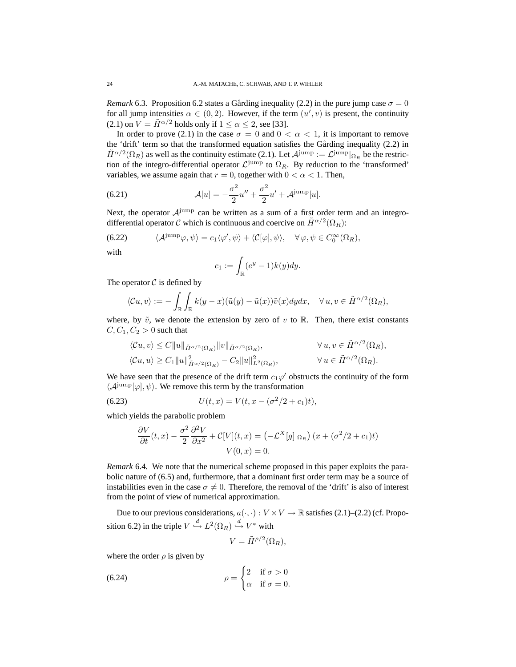*Remark* 6.3. Proposition 6.2 states a Gårding inequality (2.2) in the pure jump case  $\sigma = 0$ for all jump intensities  $\alpha \in (0,2)$ . However, if the term  $(u', v)$  is present, the continuity (2.1) on  $V = \tilde{H}^{\alpha/2}$  holds only if  $1 \leq \alpha \leq 2$ , see [33].

In order to prove (2.1) in the case  $\sigma = 0$  and  $0 < \alpha < 1$ , it is important to remove the 'drift' term so that the transformed equation satisfies the Gårding inequality (2.2) in  $\tilde{H}^{\alpha/2}(\Omega_R)$  as well as the continuity estimate (2.1). Let  $\mathcal{A}^{\text{jump}} := \mathcal{L}^{\text{jump}}|_{\Omega_R}$  be the restriction of the integro-differential operator  $\mathcal{L}^{\text{jump}}$  to  $\Omega_R$ . By reduction to the 'transformed' variables, we assume again that  $r = 0$ , together with  $0 < \alpha < 1$ . Then,

(6.21) 
$$
\mathcal{A}[u] = -\frac{\sigma^2}{2}u'' + \frac{\sigma^2}{2}u' + \mathcal{A}^{\text{jump}}[u].
$$

Next, the operator  $A^{jump}$  can be written as a sum of a first order term and an integrodifferential operator C which is continuous and coercive on  $\tilde{H}^{\alpha/2}(\Omega_R)$ :

(6.22) 
$$
\langle \mathcal{A}^{\text{jump}} \varphi, \psi \rangle = c_1 \langle \varphi', \psi \rangle + \langle \mathcal{C}[\varphi], \psi \rangle, \quad \forall \varphi, \psi \in C_0^{\infty}(\Omega_R),
$$

with

$$
c_1 := \int_{\mathbb{R}} (e^y - 1) k(y) dy.
$$

The operator  $C$  is defined by

$$
\langle \mathcal{C}u, v \rangle := -\int_{\mathbb{R}} \int_{\mathbb{R}} k(y-x)(\tilde{u}(y) - \tilde{u}(x))\tilde{v}(x)dydx, \quad \forall u, v \in \tilde{H}^{\alpha/2}(\Omega_R),
$$

where, by  $\tilde{v}$ , we denote the extension by zero of v to R. Then, there exist constants  $C, C_1, C_2 > 0$  such that

$$
\langle \mathcal{C}u, v \rangle \leq C \|u\|_{\tilde{H}^{\alpha/2}(\Omega_R)} \|v\|_{\tilde{H}^{\alpha/2}(\Omega_R)}, \qquad \forall u, v \in \tilde{H}^{\alpha/2}(\Omega_R),
$$
  

$$
\langle \mathcal{C}u, u \rangle \geq C_1 \|u\|_{\tilde{H}^{\alpha/2}(\Omega_R)}^2 - C_2 \|u\|_{L^2(\Omega_R)}^2, \qquad \forall u \in \tilde{H}^{\alpha/2}(\Omega_R).
$$

We have seen that the presence of the drift term  $c_1\varphi'$  obstructs the continuity of the form  $\langle A^{jump}[\varphi], \psi \rangle$ . We remove this term by the transformation

(6.23) 
$$
U(t,x) = V(t,x - (\sigma^2/2 + c_1)t),
$$

which yields the parabolic problem

$$
\frac{\partial V}{\partial t}(t,x) - \frac{\sigma^2}{2} \frac{\partial^2 V}{\partial x^2} + C[V](t,x) = \left(-\mathcal{L}^X[g]|_{\Omega_R}\right)(x + (\sigma^2/2 + c_1)t)
$$

$$
V(0,x) = 0.
$$

*Remark* 6.4*.* We note that the numerical scheme proposed in this paper exploits the parabolic nature of (6.5) and, furthermore, that a dominant first order term may be a source of instabilities even in the case  $\sigma \neq 0$ . Therefore, the removal of the 'drift' is also of interest from the point of view of numerical approximation.

Due to our previous considerations,  $a(\cdot, \cdot): V \times V \to \mathbb{R}$  satisfies (2.1)–(2.2) (cf. Proposition 6.2) in the triple  $V \stackrel{d}{\hookrightarrow} L^2(\Omega_R) \stackrel{d}{\hookrightarrow} V^*$  with

$$
V = \tilde{H}^{\rho/2}(\Omega_R),
$$

where the order  $\rho$  is given by

(6.24) 
$$
\rho = \begin{cases} 2 & \text{if } \sigma > 0 \\ \alpha & \text{if } \sigma = 0. \end{cases}
$$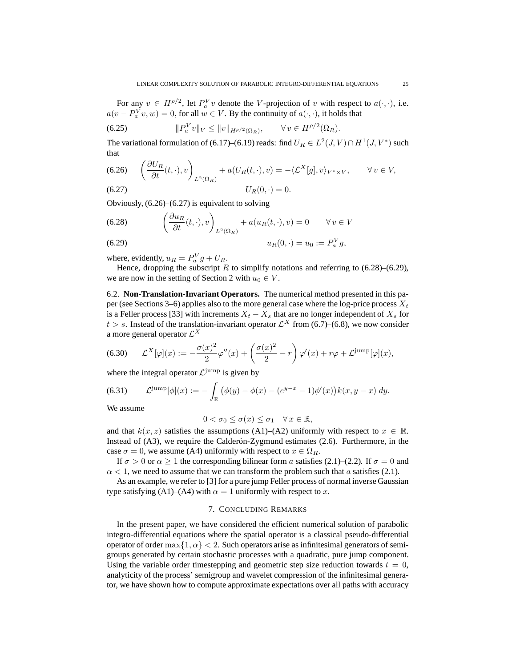For any  $v \in H^{\rho/2}$ , let  $P_a^V v$  denote the V-projection of v with respect to  $a(\cdot, \cdot)$ , i.e.  $a(v - P_a^V v, w) = 0$ , for all  $w \in V$ . By the continuity of  $a(\cdot, \cdot)$ , it holds that

(6.25) 
$$
||P_a^V v||_V \le ||v||_{H^{\rho/2}(\Omega_R)}, \qquad \forall v \in H^{\rho/2}(\Omega_R).
$$

The variational formulation of (6.17)–(6.19) reads: find  $U_R \in L^2(J, V) \cap H^1(J, V^*)$  such that

(6.26) 
$$
\left(\frac{\partial U_R}{\partial t}(t,\cdot),v\right)_{L^2(\Omega_R)} + a(U_R(t,\cdot),v) = -\langle \mathcal{L}^X[g],v\rangle_{V^*\times V}, \qquad \forall v \in V,
$$
  
(6.27) 
$$
U_R(0,\cdot) = 0.
$$

Obviously, (6.26)–(6.27) is equivalent to solving

(6.28) 
$$
\left(\frac{\partial u_R}{\partial t}(t,\cdot),v\right)_{L^2(\Omega_R)} + a(u_R(t,\cdot),v) = 0 \quad \forall v \in V
$$

(6.29) 
$$
u_R(0, \cdot) = u_0 := P_a^V g,
$$

where, evidently,  $u_R = P_a^V g + U_R$ .

Hence, dropping the subscript R to simplify notations and referring to  $(6.28)$ – $(6.29)$ , we are now in the setting of Section 2 with  $u_0 \in V$ .

6.2. **Non-Translation-Invariant Operators.** The numerical method presented in this paper (see Sections 3–6) applies also to the more general case where the log-price process  $X_t$ is a Feller process [33] with increments  $X_t - X_s$  that are no longer independent of  $X_s$  for  $t > s$ . Instead of the translation-invariant operator  $\mathcal{L}^{X}$  from (6.7)–(6.8), we now consider a more general operator  $\mathcal{L}^X$ 

(6.30) 
$$
\mathcal{L}^{X}[\varphi](x) := -\frac{\sigma(x)^{2}}{2}\varphi''(x) + \left(\frac{\sigma(x)^{2}}{2} - r\right)\varphi'(x) + r\varphi + \mathcal{L}^{\text{jump}}[\varphi](x),
$$

where the integral operator  $\mathcal{L}^{\text{jump}}$  is given by

(6.31) 
$$
\mathcal{L}^{\text{jump}}[\phi](x) := -\int_{\mathbb{R}} (\phi(y) - \phi(x) - (e^{y-x} - 1)\phi'(x))k(x, y - x) \, dy.
$$

We assume

$$
0 < \sigma_0 \le \sigma(x) \le \sigma_1 \quad \forall \, x \in \mathbb{R},
$$

and that  $k(x, z)$  satisfies the assumptions (A1)–(A2) uniformly with respect to  $x \in \mathbb{R}$ . Instead of (A3), we require the Calderón-Zygmund estimates (2.6). Furthermore, in the case  $\sigma = 0$ , we assume (A4) uniformly with respect to  $x \in \Omega_R$ .

If  $\sigma > 0$  or  $\alpha \ge 1$  the corresponding bilinear form a satisfies (2.1)–(2.2). If  $\sigma = 0$  and  $\alpha$  < 1, we need to assume that we can transform the problem such that a satisfies (2.1).

As an example, we refer to [3] for a pure jump Feller process of normal inverse Gaussian type satisfying (A1)–(A4) with  $\alpha = 1$  uniformly with respect to x.

#### 7. CONCLUDING REMARKS

In the present paper, we have considered the efficient numerical solution of parabolic integro-differential equations where the spatial operator is a classical pseudo-differential operator of order max $\{1, \alpha\} < 2$ . Such operators arise as infinitesimal generators of semigroups generated by certain stochastic processes with a quadratic, pure jump component. Using the variable order timestepping and geometric step size reduction towards  $t = 0$ , analyticity of the process' semigroup and wavelet compression of the infinitesimal generator, we have shown how to compute approximate expectations over all paths with accuracy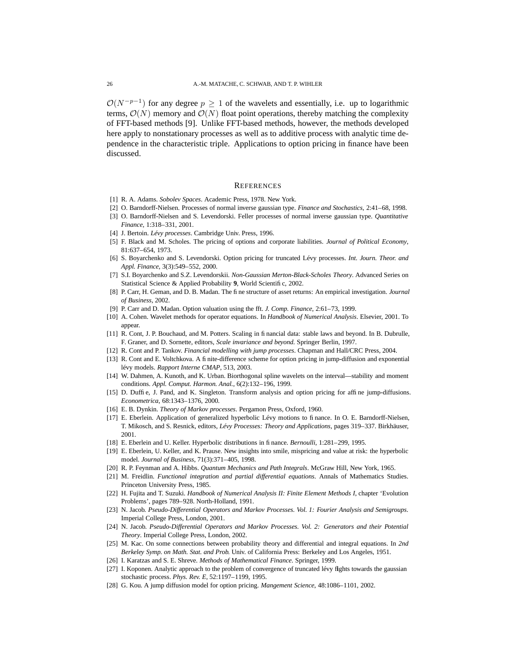$\mathcal{O}(N^{-p-1})$  for any degree  $p \geq 1$  of the wavelets and essentially, i.e. up to logarithmic terms,  $\mathcal{O}(N)$  memory and  $\mathcal{O}(N)$  float point operations, thereby matching the complexity of FFT-based methods [9]. Unlike FFT-based methods, however, the methods developed here apply to nonstationary processes as well as to additive process with analytic time dependence in the characteristic triple. Applications to option pricing in finance have been discussed.

#### **REFERENCES**

- [1] R. A. Adams. *Sobolev Spaces*. Academic Press, 1978. New York.
- [2] O. Barndorff-Nielsen. Processes of normal inverse gaussian type. *Finance and Stochastics*, 2:41–68, 1998.
- [3] O. Barndorff-Nielsen and S. Levendorski. Feller processes of normal inverse gaussian type. *Quantitative Finance*, 1:318–331, 2001.
- [4] J. Bertoin. *Lévy processes*. Cambridge Univ. Press, 1996.
- [5] F. Black and M. Scholes. The pricing of options and corporate liabilities. *Journal of Political Economy*, 81:637–654, 1973.
- [6] S. Boyarchenko and S. Levendorski. Option pricing for truncated Lévy processes. *Int. Journ. Theor. and Appl. Finance*, 3(3):549–552, 2000.
- [7] S.I. Boyarchenko and S.Z. Levendorskii. *Non-Gaussian Merton-Black-Scholes Theory*. Advanced Series on Statistical Science & Applied Probability 9, World Scientific, 2002.
- [8] P. Carr, H. Geman, and D. B. Madan. The fine structure of asset returns: An empirical investigation. *Journal of Business*, 2002.
- [9] P. Carr and D. Madan. Option valuation using the fft. *J. Comp. Finance*, 2:61–73, 1999.
- [10] A. Cohen. Wavelet methods for operator equations. In *Handbook of Numerical Analysis*. Elsevier, 2001. To appear.
- [11] R. Cont, J. P. Bouchaud, and M. Potters. Scaling in financial data: stable laws and beyond. In B. Dubrulle, F. Graner, and D. Sornette, editors, *Scale invariance and beyond*. Springer Berlin, 1997.
- [12] R. Cont and P. Tankov. *Financial modelling with jump processes*. Chapman and Hall/CRC Press, 2004.
- [13] R. Cont and E. Voltchkova. A finite-difference scheme for option pricing in jump-diffusion and exponential lévy models. *Rapport Interne CMAP*, 513, 2003.
- [14] W. Dahmen, A. Kunoth, and K. Urban. Biorthogonal spline wavelets on the interval—stability and moment conditions. *Appl. Comput. Harmon. Anal.*, 6(2):132–196, 1999.
- [15] D. Duffie, J. Pand, and K. Singleton. Transform analysis and option pricing for affine jump-diffusions. *Econometrica*, 68:1343–1376, 2000.
- [16] E. B. Dynkin. *Theory of Markov processes*. Pergamon Press, Oxford, 1960.
- [17] E. Eberlein. Application of generalized hyperbolic Lévy motions to finance. In O. E. Barndorff-Nielsen, T. Mikosch, and S. Resnick, editors, *Lévy Processes: Theory and Applications*, pages 319–337. Birkhäuser, 2001.
- [18] E. Eberlein and U. Keller. Hyperbolic distributions in finance. *Bernoulli*, 1:281–299, 1995.
- [19] E. Eberlein, U. Keller, and K. Prause. New insights into smile, mispricing and value at risk: the hyperbolic model. *Journal of Business*, 71(3):371–405, 1998.
- [20] R. P. Feynman and A. Hibbs. *Quantum Mechanics and Path Integrals*. McGraw Hill, New York, 1965.
- [21] M. Freidlin. *Functional integration and partial differential equations*. Annals of Mathematics Studies. Princeton University Press, 1985.
- [22] H. Fujita and T. Suzuki. *Handbook of Numerical Analysis II: Finite Element Methods I*, chapter 'Evolution Problems', pages 789–928. North-Holland, 1991.
- [23] N. Jacob. *Pseudo-Differential Operators and Markov Processes. Vol. 1: Fourier Analysis and Semigroups*. Imperial College Press, London, 2001.
- [24] N. Jacob. *Pseudo-Differential Operators and Markov Processes. Vol. 2: Generators and their Potential Theory*. Imperial College Press, London, 2002.
- [25] M. Kac. On some connections between probability theory and differential and integral equations. In *2nd Berkeley Symp. on Math. Stat. and Prob.* Univ. of California Press: Berkeley and Los Angeles, 1951.
- [26] I. Karatzas and S. E. Shreve. *Methods of Mathematical Finance*. Springer, 1999.
- [27] I. Koponen. Analytic approach to the problem of convergence of truncated lévy flights towards the gaussian stochastic process. *Phys. Rev. E*, 52:1197–1199, 1995.
- [28] G. Kou. A jump diffusion model for option pricing. *Mangement Science*, 48:1086–1101, 2002.